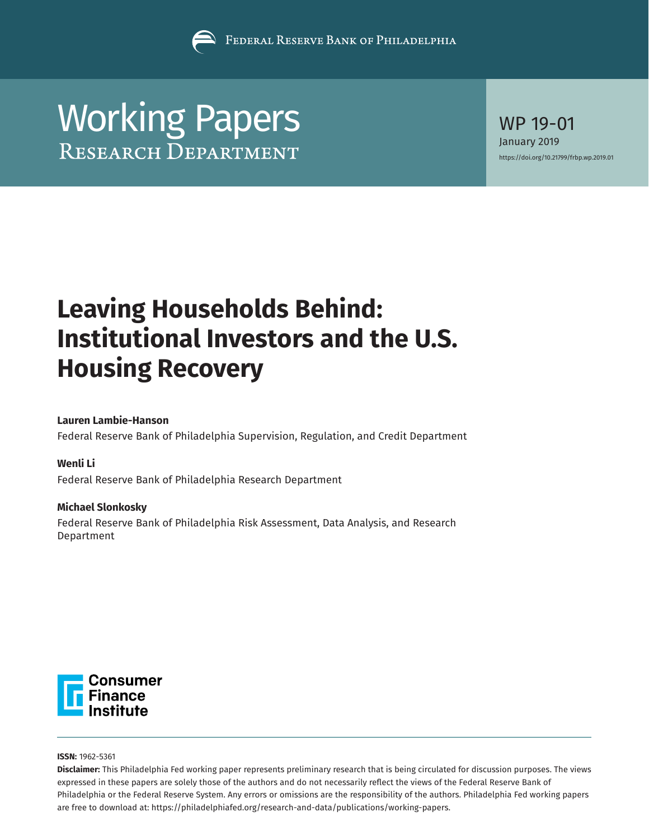

# [Working Papers](https://www.philadelphiafed.org/research-and-data/publications/working-papers)

WP 19-01 January 2019 <https://doi.org/10.21799/frbp.wp.2019.01>

# **Leaving Households Behind: Institutional Investors and the U.S. Housing Recovery**

# **Lauren Lambie-Hanson**

Federal Reserve Bank of Philadelphia Supervision, Regulation, and Credit Department

# **Wenli Li**

Federal Reserve Bank of Philadelphia Research Department

# **Michael Slonkosky**

Federal Reserve Bank of Philadelphia Risk Assessment, Data Analysis, and Research Department



**ISSN:** 1962-5361

**Disclaimer:** This Philadelphia Fed working paper represents preliminary research that is being circulated for discussion purposes. The views expressed in these papers are solely those of the authors and do not necessarily reflect the views of the Federal Reserve Bank of Philadelphia or the Federal Reserve System. Any errors or omissions are the responsibility of the authors. Philadelphia Fed working papers are free to download at: <https://philadelphiafed.org/research-and-data/publications/working-papers>.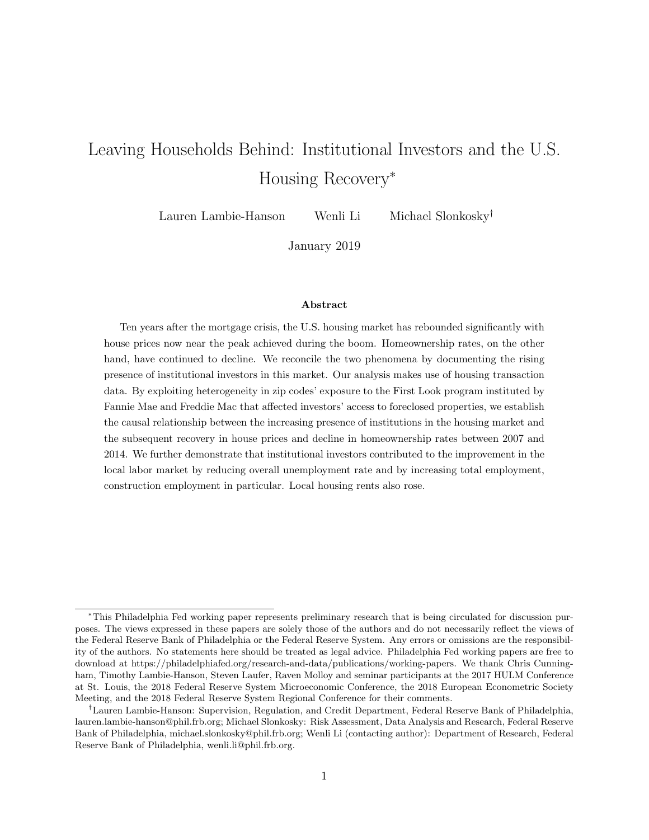# Leaving Households Behind: Institutional Investors and the U.S. Housing Recovery<sup>∗</sup>

Lauren Lambie-Hanson Wenli Li Michael Slonkosky†

January 2019

#### Abstract

Ten years after the mortgage crisis, the U.S. housing market has rebounded significantly with house prices now near the peak achieved during the boom. Homeownership rates, on the other hand, have continued to decline. We reconcile the two phenomena by documenting the rising presence of institutional investors in this market. Our analysis makes use of housing transaction data. By exploiting heterogeneity in zip codes' exposure to the First Look program instituted by Fannie Mae and Freddie Mac that affected investors' access to foreclosed properties, we establish the causal relationship between the increasing presence of institutions in the housing market and the subsequent recovery in house prices and decline in homeownership rates between 2007 and 2014. We further demonstrate that institutional investors contributed to the improvement in the local labor market by reducing overall unemployment rate and by increasing total employment, construction employment in particular. Local housing rents also rose.

<sup>∗</sup>This Philadelphia Fed working paper represents preliminary research that is being circulated for discussion purposes. The views expressed in these papers are solely those of the authors and do not necessarily reflect the views of the Federal Reserve Bank of Philadelphia or the Federal Reserve System. Any errors or omissions are the responsibility of the authors. No statements here should be treated as legal advice. Philadelphia Fed working papers are free to download at https://philadelphiafed.org/research-and-data/publications/working-papers. We thank Chris Cunningham, Timothy Lambie-Hanson, Steven Laufer, Raven Molloy and seminar participants at the 2017 HULM Conference at St. Louis, the 2018 Federal Reserve System Microeconomic Conference, the 2018 European Econometric Society Meeting, and the 2018 Federal Reserve System Regional Conference for their comments.

<sup>†</sup>Lauren Lambie-Hanson: Supervision, Regulation, and Credit Department, Federal Reserve Bank of Philadelphia, lauren.lambie-hanson@phil.frb.org; Michael Slonkosky: Risk Assessment, Data Analysis and Research, Federal Reserve Bank of Philadelphia, michael.slonkosky@phil.frb.org; Wenli Li (contacting author): Department of Research, Federal Reserve Bank of Philadelphia, wenli.li@phil.frb.org.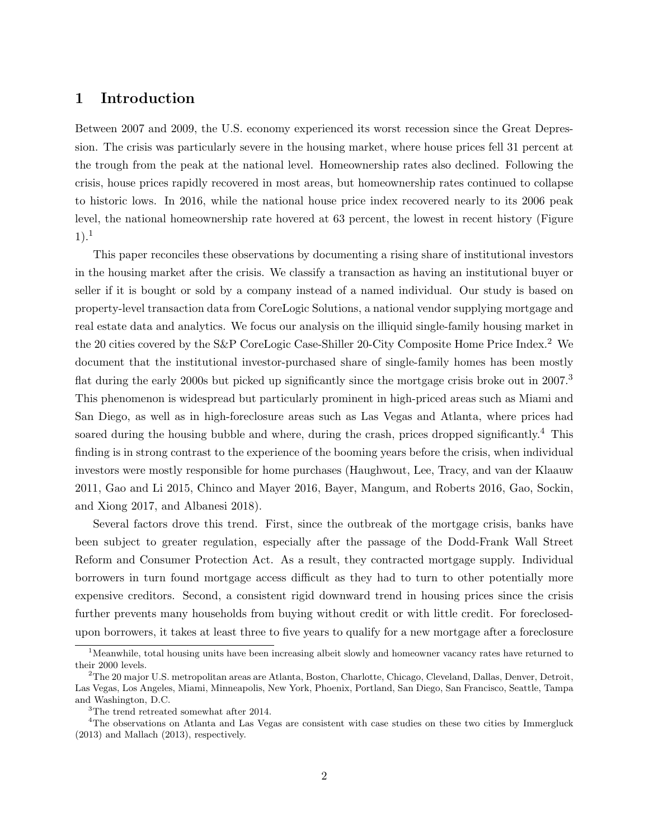# 1 Introduction

Between 2007 and 2009, the U.S. economy experienced its worst recession since the Great Depression. The crisis was particularly severe in the housing market, where house prices fell 31 percent at the trough from the peak at the national level. Homeownership rates also declined. Following the crisis, house prices rapidly recovered in most areas, but homeownership rates continued to collapse to historic lows. In 2016, while the national house price index recovered nearly to its 2006 peak level, the national homeownership rate hovered at 63 percent, the lowest in recent history (Figure  $1)$ <sup>1</sup>

This paper reconciles these observations by documenting a rising share of institutional investors in the housing market after the crisis. We classify a transaction as having an institutional buyer or seller if it is bought or sold by a company instead of a named individual. Our study is based on property-level transaction data from CoreLogic Solutions, a national vendor supplying mortgage and real estate data and analytics. We focus our analysis on the illiquid single-family housing market in the 20 cities covered by the S&P CoreLogic Case-Shiller 20-City Composite Home Price Index.<sup>2</sup> We document that the institutional investor-purchased share of single-family homes has been mostly flat during the early 2000s but picked up significantly since the mortgage crisis broke out in 2007.<sup>3</sup> This phenomenon is widespread but particularly prominent in high-priced areas such as Miami and San Diego, as well as in high-foreclosure areas such as Las Vegas and Atlanta, where prices had soared during the housing bubble and where, during the crash, prices dropped significantly.<sup>4</sup> This finding is in strong contrast to the experience of the booming years before the crisis, when individual investors were mostly responsible for home purchases (Haughwout, Lee, Tracy, and van der Klaauw 2011, Gao and Li 2015, Chinco and Mayer 2016, Bayer, Mangum, and Roberts 2016, Gao, Sockin, and Xiong 2017, and Albanesi 2018).

Several factors drove this trend. First, since the outbreak of the mortgage crisis, banks have been subject to greater regulation, especially after the passage of the Dodd-Frank Wall Street Reform and Consumer Protection Act. As a result, they contracted mortgage supply. Individual borrowers in turn found mortgage access difficult as they had to turn to other potentially more expensive creditors. Second, a consistent rigid downward trend in housing prices since the crisis further prevents many households from buying without credit or with little credit. For foreclosedupon borrowers, it takes at least three to five years to qualify for a new mortgage after a foreclosure

<sup>&</sup>lt;sup>1</sup>Meanwhile, total housing units have been increasing albeit slowly and homeowner vacancy rates have returned to their 2000 levels.

<sup>2</sup>The 20 major U.S. metropolitan areas are Atlanta, Boston, Charlotte, Chicago, Cleveland, Dallas, Denver, Detroit, Las Vegas, Los Angeles, Miami, Minneapolis, New York, Phoenix, Portland, San Diego, San Francisco, Seattle, Tampa and Washington, D.C.

<sup>3</sup>The trend retreated somewhat after 2014.

<sup>&</sup>lt;sup>4</sup>The observations on Atlanta and Las Vegas are consistent with case studies on these two cities by Immergluck (2013) and Mallach (2013), respectively.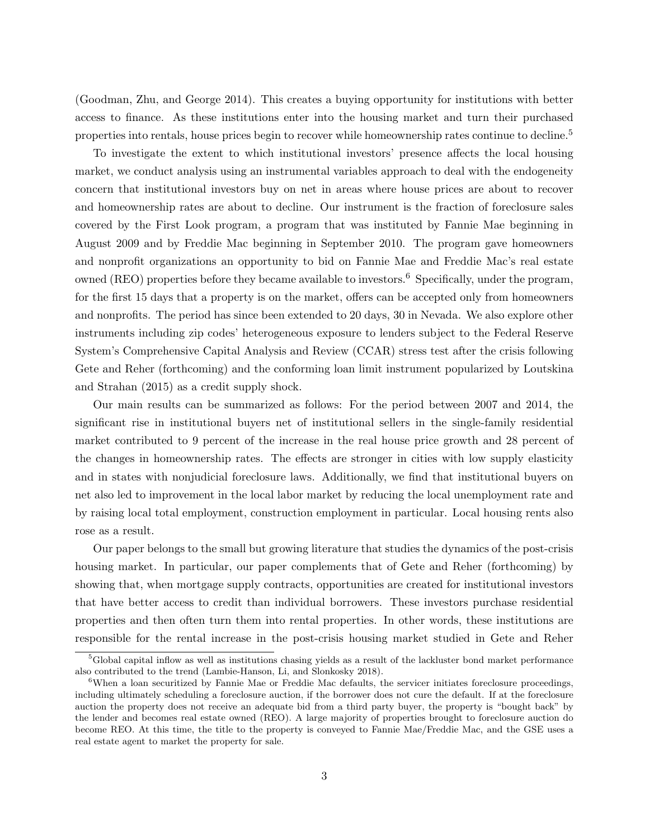(Goodman, Zhu, and George 2014). This creates a buying opportunity for institutions with better access to finance. As these institutions enter into the housing market and turn their purchased properties into rentals, house prices begin to recover while homeownership rates continue to decline.<sup>5</sup>

To investigate the extent to which institutional investors' presence affects the local housing market, we conduct analysis using an instrumental variables approach to deal with the endogeneity concern that institutional investors buy on net in areas where house prices are about to recover and homeownership rates are about to decline. Our instrument is the fraction of foreclosure sales covered by the First Look program, a program that was instituted by Fannie Mae beginning in August 2009 and by Freddie Mac beginning in September 2010. The program gave homeowners and nonprofit organizations an opportunity to bid on Fannie Mae and Freddie Mac's real estate owned (REO) properties before they became available to investors.<sup>6</sup> Specifically, under the program, for the first 15 days that a property is on the market, offers can be accepted only from homeowners and nonprofits. The period has since been extended to 20 days, 30 in Nevada. We also explore other instruments including zip codes' heterogeneous exposure to lenders subject to the Federal Reserve System's Comprehensive Capital Analysis and Review (CCAR) stress test after the crisis following Gete and Reher (forthcoming) and the conforming loan limit instrument popularized by Loutskina and Strahan (2015) as a credit supply shock.

Our main results can be summarized as follows: For the period between 2007 and 2014, the significant rise in institutional buyers net of institutional sellers in the single-family residential market contributed to 9 percent of the increase in the real house price growth and 28 percent of the changes in homeownership rates. The effects are stronger in cities with low supply elasticity and in states with nonjudicial foreclosure laws. Additionally, we find that institutional buyers on net also led to improvement in the local labor market by reducing the local unemployment rate and by raising local total employment, construction employment in particular. Local housing rents also rose as a result.

Our paper belongs to the small but growing literature that studies the dynamics of the post-crisis housing market. In particular, our paper complements that of Gete and Reher (forthcoming) by showing that, when mortgage supply contracts, opportunities are created for institutional investors that have better access to credit than individual borrowers. These investors purchase residential properties and then often turn them into rental properties. In other words, these institutions are responsible for the rental increase in the post-crisis housing market studied in Gete and Reher

<sup>5</sup>Global capital inflow as well as institutions chasing yields as a result of the lackluster bond market performance also contributed to the trend (Lambie-Hanson, Li, and Slonkosky 2018).

<sup>&</sup>lt;sup>6</sup>When a loan securitized by Fannie Mae or Freddie Mac defaults, the servicer initiates foreclosure proceedings, including ultimately scheduling a foreclosure auction, if the borrower does not cure the default. If at the foreclosure auction the property does not receive an adequate bid from a third party buyer, the property is "bought back" by the lender and becomes real estate owned (REO). A large majority of properties brought to foreclosure auction do become REO. At this time, the title to the property is conveyed to Fannie Mae/Freddie Mac, and the GSE uses a real estate agent to market the property for sale.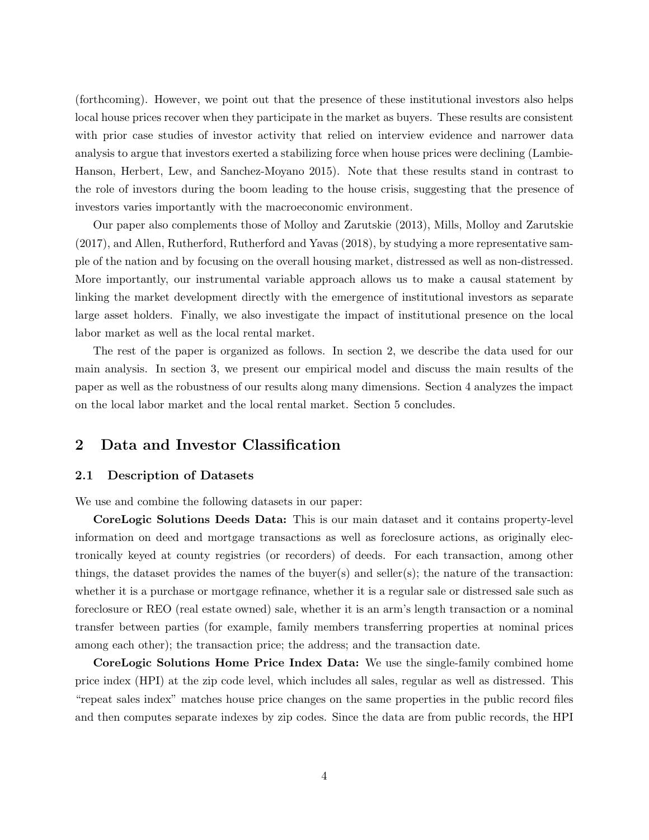(forthcoming). However, we point out that the presence of these institutional investors also helps local house prices recover when they participate in the market as buyers. These results are consistent with prior case studies of investor activity that relied on interview evidence and narrower data analysis to argue that investors exerted a stabilizing force when house prices were declining (Lambie-Hanson, Herbert, Lew, and Sanchez-Moyano 2015). Note that these results stand in contrast to the role of investors during the boom leading to the house crisis, suggesting that the presence of investors varies importantly with the macroeconomic environment.

Our paper also complements those of Molloy and Zarutskie (2013), Mills, Molloy and Zarutskie (2017), and Allen, Rutherford, Rutherford and Yavas (2018), by studying a more representative sample of the nation and by focusing on the overall housing market, distressed as well as non-distressed. More importantly, our instrumental variable approach allows us to make a causal statement by linking the market development directly with the emergence of institutional investors as separate large asset holders. Finally, we also investigate the impact of institutional presence on the local labor market as well as the local rental market.

The rest of the paper is organized as follows. In section 2, we describe the data used for our main analysis. In section 3, we present our empirical model and discuss the main results of the paper as well as the robustness of our results along many dimensions. Section 4 analyzes the impact on the local labor market and the local rental market. Section 5 concludes.

# 2 Data and Investor Classification

### 2.1 Description of Datasets

We use and combine the following datasets in our paper:

CoreLogic Solutions Deeds Data: This is our main dataset and it contains property-level information on deed and mortgage transactions as well as foreclosure actions, as originally electronically keyed at county registries (or recorders) of deeds. For each transaction, among other things, the dataset provides the names of the buyer(s) and seller(s); the nature of the transaction: whether it is a purchase or mortgage refinance, whether it is a regular sale or distressed sale such as foreclosure or REO (real estate owned) sale, whether it is an arm's length transaction or a nominal transfer between parties (for example, family members transferring properties at nominal prices among each other); the transaction price; the address; and the transaction date.

CoreLogic Solutions Home Price Index Data: We use the single-family combined home price index (HPI) at the zip code level, which includes all sales, regular as well as distressed. This "repeat sales index" matches house price changes on the same properties in the public record files and then computes separate indexes by zip codes. Since the data are from public records, the HPI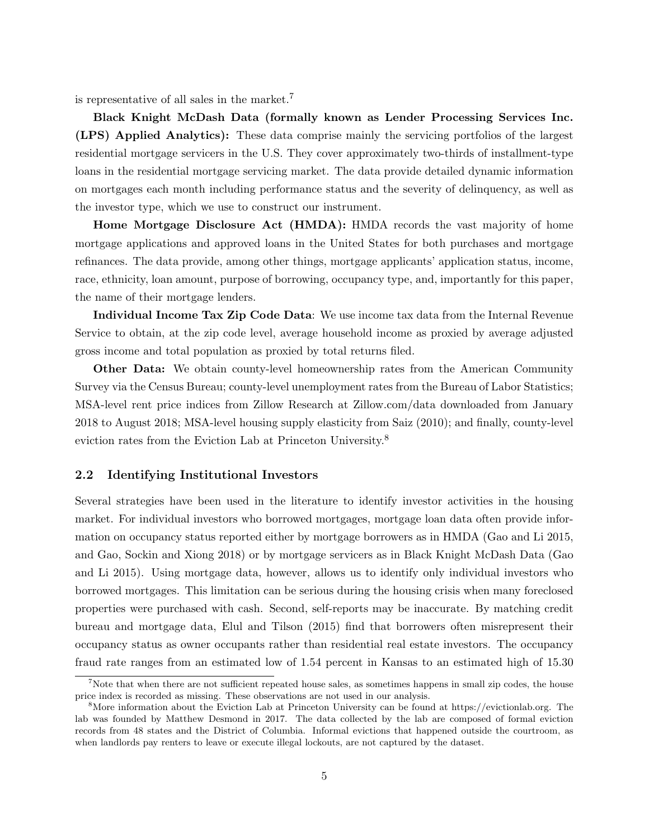is representative of all sales in the market.<sup>7</sup>

Black Knight McDash Data (formally known as Lender Processing Services Inc. (LPS) Applied Analytics): These data comprise mainly the servicing portfolios of the largest residential mortgage servicers in the U.S. They cover approximately two-thirds of installment-type loans in the residential mortgage servicing market. The data provide detailed dynamic information on mortgages each month including performance status and the severity of delinquency, as well as the investor type, which we use to construct our instrument.

Home Mortgage Disclosure Act (HMDA): HMDA records the vast majority of home mortgage applications and approved loans in the United States for both purchases and mortgage refinances. The data provide, among other things, mortgage applicants' application status, income, race, ethnicity, loan amount, purpose of borrowing, occupancy type, and, importantly for this paper, the name of their mortgage lenders.

Individual Income Tax Zip Code Data: We use income tax data from the Internal Revenue Service to obtain, at the zip code level, average household income as proxied by average adjusted gross income and total population as proxied by total returns filed.

Other Data: We obtain county-level homeownership rates from the American Community Survey via the Census Bureau; county-level unemployment rates from the Bureau of Labor Statistics; MSA-level rent price indices from Zillow Research at Zillow.com/data downloaded from January 2018 to August 2018; MSA-level housing supply elasticity from Saiz (2010); and finally, county-level eviction rates from the Eviction Lab at Princeton University.<sup>8</sup>

# 2.2 Identifying Institutional Investors

Several strategies have been used in the literature to identify investor activities in the housing market. For individual investors who borrowed mortgages, mortgage loan data often provide information on occupancy status reported either by mortgage borrowers as in HMDA (Gao and Li 2015, and Gao, Sockin and Xiong 2018) or by mortgage servicers as in Black Knight McDash Data (Gao and Li 2015). Using mortgage data, however, allows us to identify only individual investors who borrowed mortgages. This limitation can be serious during the housing crisis when many foreclosed properties were purchased with cash. Second, self-reports may be inaccurate. By matching credit bureau and mortgage data, Elul and Tilson (2015) find that borrowers often misrepresent their occupancy status as owner occupants rather than residential real estate investors. The occupancy fraud rate ranges from an estimated low of 1.54 percent in Kansas to an estimated high of 15.30

<sup>&</sup>lt;sup>7</sup>Note that when there are not sufficient repeated house sales, as sometimes happens in small zip codes, the house price index is recorded as missing. These observations are not used in our analysis.

<sup>8</sup>More information about the Eviction Lab at Princeton University can be found at https://evictionlab.org. The lab was founded by Matthew Desmond in 2017. The data collected by the lab are composed of formal eviction records from 48 states and the District of Columbia. Informal evictions that happened outside the courtroom, as when landlords pay renters to leave or execute illegal lockouts, are not captured by the dataset.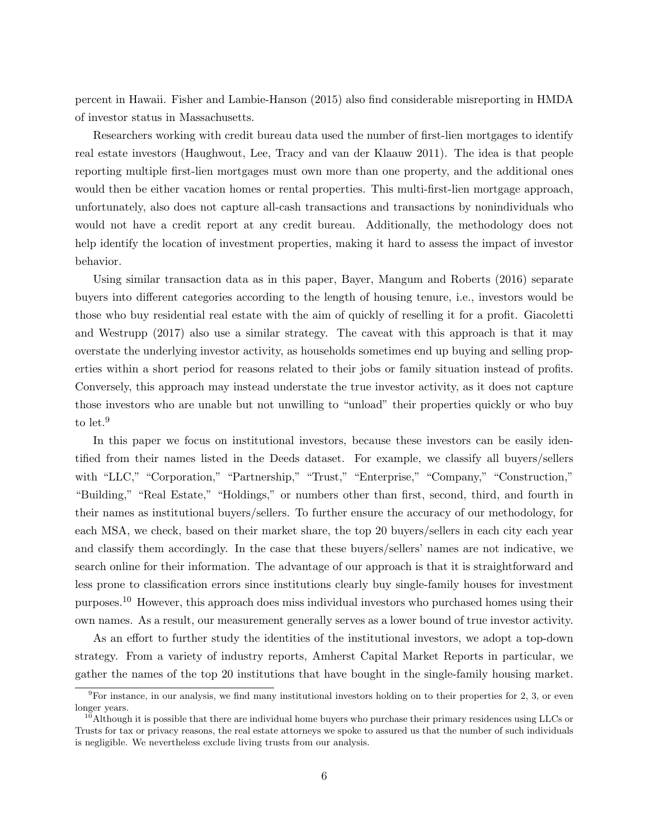percent in Hawaii. Fisher and Lambie-Hanson (2015) also find considerable misreporting in HMDA of investor status in Massachusetts.

Researchers working with credit bureau data used the number of first-lien mortgages to identify real estate investors (Haughwout, Lee, Tracy and van der Klaauw 2011). The idea is that people reporting multiple first-lien mortgages must own more than one property, and the additional ones would then be either vacation homes or rental properties. This multi-first-lien mortgage approach, unfortunately, also does not capture all-cash transactions and transactions by nonindividuals who would not have a credit report at any credit bureau. Additionally, the methodology does not help identify the location of investment properties, making it hard to assess the impact of investor behavior.

Using similar transaction data as in this paper, Bayer, Mangum and Roberts (2016) separate buyers into different categories according to the length of housing tenure, i.e., investors would be those who buy residential real estate with the aim of quickly of reselling it for a profit. Giacoletti and Westrupp (2017) also use a similar strategy. The caveat with this approach is that it may overstate the underlying investor activity, as households sometimes end up buying and selling properties within a short period for reasons related to their jobs or family situation instead of profits. Conversely, this approach may instead understate the true investor activity, as it does not capture those investors who are unable but not unwilling to "unload" their properties quickly or who buy to let.<sup>9</sup>

In this paper we focus on institutional investors, because these investors can be easily identified from their names listed in the Deeds dataset. For example, we classify all buyers/sellers with "LLC," "Corporation," "Partnership," "Trust," "Enterprise," "Company," "Construction," "Building," "Real Estate," "Holdings," or numbers other than first, second, third, and fourth in their names as institutional buyers/sellers. To further ensure the accuracy of our methodology, for each MSA, we check, based on their market share, the top 20 buyers/sellers in each city each year and classify them accordingly. In the case that these buyers/sellers' names are not indicative, we search online for their information. The advantage of our approach is that it is straightforward and less prone to classification errors since institutions clearly buy single-family houses for investment purposes.<sup>10</sup> However, this approach does miss individual investors who purchased homes using their own names. As a result, our measurement generally serves as a lower bound of true investor activity.

As an effort to further study the identities of the institutional investors, we adopt a top-down strategy. From a variety of industry reports, Amherst Capital Market Reports in particular, we gather the names of the top 20 institutions that have bought in the single-family housing market.

 $9$ For instance, in our analysis, we find many institutional investors holding on to their properties for 2, 3, or even longer years.

 $10$ Although it is possible that there are individual home buyers who purchase their primary residences using LLCs or Trusts for tax or privacy reasons, the real estate attorneys we spoke to assured us that the number of such individuals is negligible. We nevertheless exclude living trusts from our analysis.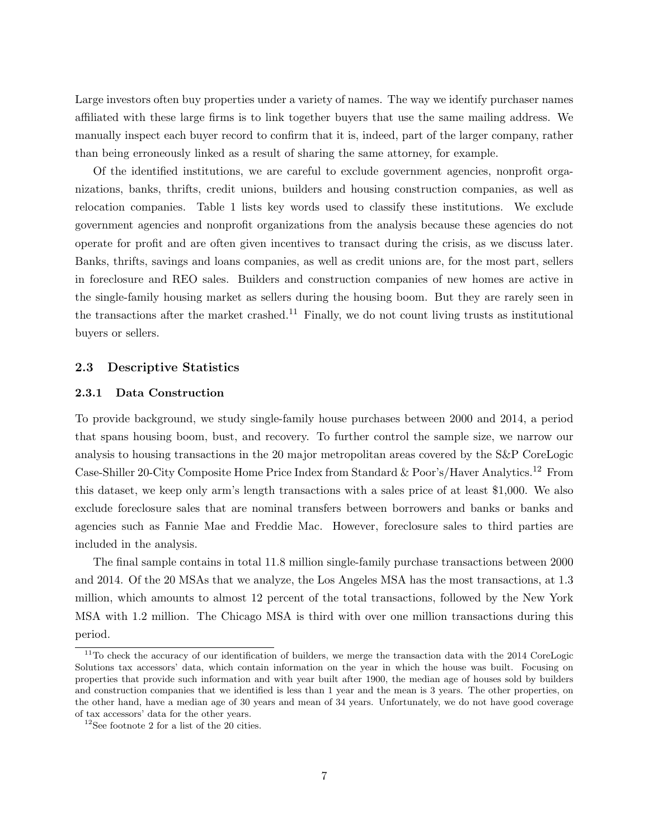Large investors often buy properties under a variety of names. The way we identify purchaser names affiliated with these large firms is to link together buyers that use the same mailing address. We manually inspect each buyer record to confirm that it is, indeed, part of the larger company, rather than being erroneously linked as a result of sharing the same attorney, for example.

Of the identified institutions, we are careful to exclude government agencies, nonprofit organizations, banks, thrifts, credit unions, builders and housing construction companies, as well as relocation companies. Table 1 lists key words used to classify these institutions. We exclude government agencies and nonprofit organizations from the analysis because these agencies do not operate for profit and are often given incentives to transact during the crisis, as we discuss later. Banks, thrifts, savings and loans companies, as well as credit unions are, for the most part, sellers in foreclosure and REO sales. Builders and construction companies of new homes are active in the single-family housing market as sellers during the housing boom. But they are rarely seen in the transactions after the market crashed.<sup>11</sup> Finally, we do not count living trusts as institutional buyers or sellers.

## 2.3 Descriptive Statistics

# 2.3.1 Data Construction

To provide background, we study single-family house purchases between 2000 and 2014, a period that spans housing boom, bust, and recovery. To further control the sample size, we narrow our analysis to housing transactions in the 20 major metropolitan areas covered by the S&P CoreLogic Case-Shiller 20-City Composite Home Price Index from Standard & Poor's/Haver Analytics.<sup>12</sup> From this dataset, we keep only arm's length transactions with a sales price of at least \$1,000. We also exclude foreclosure sales that are nominal transfers between borrowers and banks or banks and agencies such as Fannie Mae and Freddie Mac. However, foreclosure sales to third parties are included in the analysis.

The final sample contains in total 11.8 million single-family purchase transactions between 2000 and 2014. Of the 20 MSAs that we analyze, the Los Angeles MSA has the most transactions, at 1.3 million, which amounts to almost 12 percent of the total transactions, followed by the New York MSA with 1.2 million. The Chicago MSA is third with over one million transactions during this period.

<sup>&</sup>lt;sup>11</sup>To check the accuracy of our identification of builders, we merge the transaction data with the 2014 CoreLogic Solutions tax accessors' data, which contain information on the year in which the house was built. Focusing on properties that provide such information and with year built after 1900, the median age of houses sold by builders and construction companies that we identified is less than 1 year and the mean is 3 years. The other properties, on the other hand, have a median age of 30 years and mean of 34 years. Unfortunately, we do not have good coverage of tax accessors' data for the other years.

 $12$ See footnote 2 for a list of the 20 cities.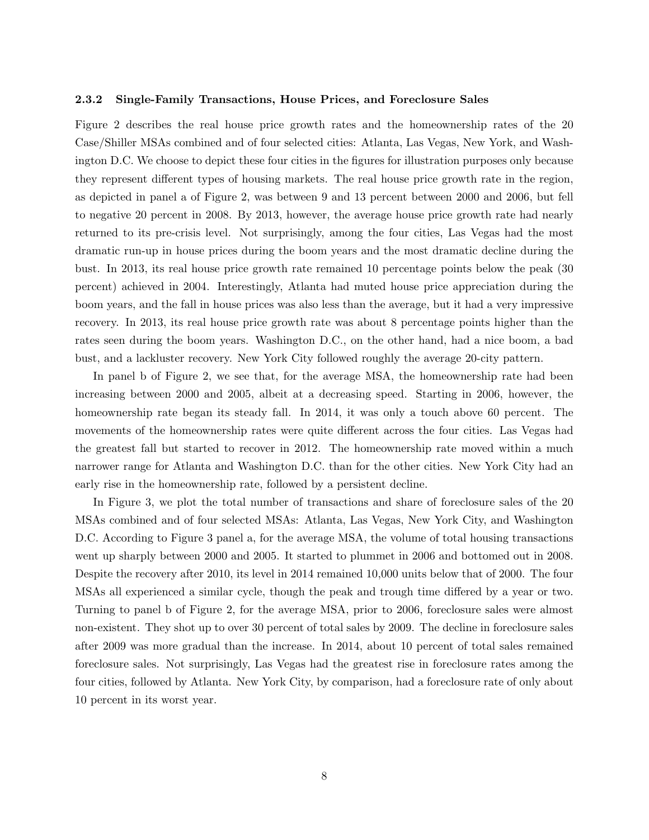#### 2.3.2 Single-Family Transactions, House Prices, and Foreclosure Sales

Figure 2 describes the real house price growth rates and the homeownership rates of the 20 Case/Shiller MSAs combined and of four selected cities: Atlanta, Las Vegas, New York, and Washington D.C. We choose to depict these four cities in the figures for illustration purposes only because they represent different types of housing markets. The real house price growth rate in the region, as depicted in panel a of Figure 2, was between 9 and 13 percent between 2000 and 2006, but fell to negative 20 percent in 2008. By 2013, however, the average house price growth rate had nearly returned to its pre-crisis level. Not surprisingly, among the four cities, Las Vegas had the most dramatic run-up in house prices during the boom years and the most dramatic decline during the bust. In 2013, its real house price growth rate remained 10 percentage points below the peak (30 percent) achieved in 2004. Interestingly, Atlanta had muted house price appreciation during the boom years, and the fall in house prices was also less than the average, but it had a very impressive recovery. In 2013, its real house price growth rate was about 8 percentage points higher than the rates seen during the boom years. Washington D.C., on the other hand, had a nice boom, a bad bust, and a lackluster recovery. New York City followed roughly the average 20-city pattern.

In panel b of Figure 2, we see that, for the average MSA, the homeownership rate had been increasing between 2000 and 2005, albeit at a decreasing speed. Starting in 2006, however, the homeownership rate began its steady fall. In 2014, it was only a touch above 60 percent. The movements of the homeownership rates were quite different across the four cities. Las Vegas had the greatest fall but started to recover in 2012. The homeownership rate moved within a much narrower range for Atlanta and Washington D.C. than for the other cities. New York City had an early rise in the homeownership rate, followed by a persistent decline.

In Figure 3, we plot the total number of transactions and share of foreclosure sales of the 20 MSAs combined and of four selected MSAs: Atlanta, Las Vegas, New York City, and Washington D.C. According to Figure 3 panel a, for the average MSA, the volume of total housing transactions went up sharply between 2000 and 2005. It started to plummet in 2006 and bottomed out in 2008. Despite the recovery after 2010, its level in 2014 remained 10,000 units below that of 2000. The four MSAs all experienced a similar cycle, though the peak and trough time differed by a year or two. Turning to panel b of Figure 2, for the average MSA, prior to 2006, foreclosure sales were almost non-existent. They shot up to over 30 percent of total sales by 2009. The decline in foreclosure sales after 2009 was more gradual than the increase. In 2014, about 10 percent of total sales remained foreclosure sales. Not surprisingly, Las Vegas had the greatest rise in foreclosure rates among the four cities, followed by Atlanta. New York City, by comparison, had a foreclosure rate of only about 10 percent in its worst year.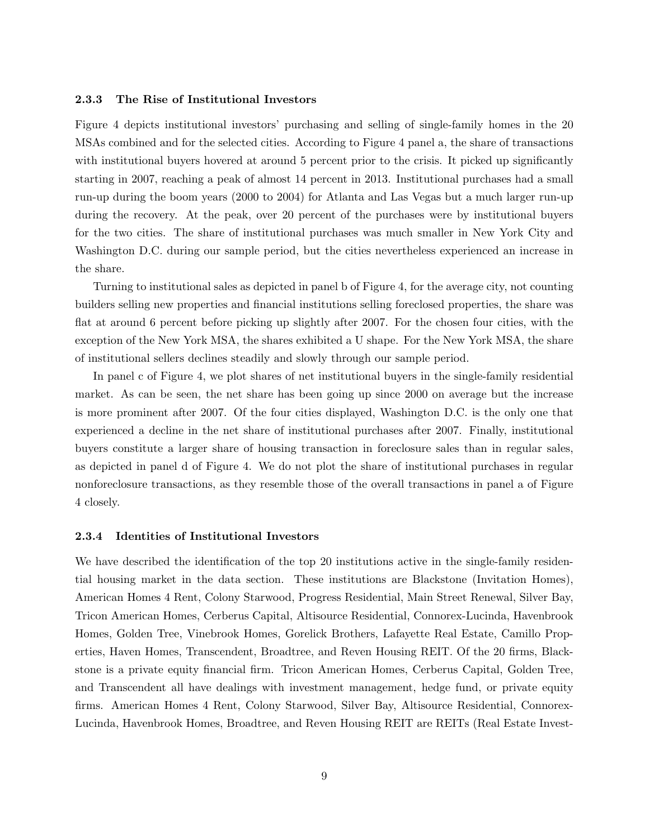#### 2.3.3 The Rise of Institutional Investors

Figure 4 depicts institutional investors' purchasing and selling of single-family homes in the 20 MSAs combined and for the selected cities. According to Figure 4 panel a, the share of transactions with institutional buyers hovered at around 5 percent prior to the crisis. It picked up significantly starting in 2007, reaching a peak of almost 14 percent in 2013. Institutional purchases had a small run-up during the boom years (2000 to 2004) for Atlanta and Las Vegas but a much larger run-up during the recovery. At the peak, over 20 percent of the purchases were by institutional buyers for the two cities. The share of institutional purchases was much smaller in New York City and Washington D.C. during our sample period, but the cities nevertheless experienced an increase in the share.

Turning to institutional sales as depicted in panel b of Figure 4, for the average city, not counting builders selling new properties and financial institutions selling foreclosed properties, the share was flat at around 6 percent before picking up slightly after 2007. For the chosen four cities, with the exception of the New York MSA, the shares exhibited a U shape. For the New York MSA, the share of institutional sellers declines steadily and slowly through our sample period.

In panel c of Figure 4, we plot shares of net institutional buyers in the single-family residential market. As can be seen, the net share has been going up since 2000 on average but the increase is more prominent after 2007. Of the four cities displayed, Washington D.C. is the only one that experienced a decline in the net share of institutional purchases after 2007. Finally, institutional buyers constitute a larger share of housing transaction in foreclosure sales than in regular sales, as depicted in panel d of Figure 4. We do not plot the share of institutional purchases in regular nonforeclosure transactions, as they resemble those of the overall transactions in panel a of Figure 4 closely.

#### 2.3.4 Identities of Institutional Investors

We have described the identification of the top 20 institutions active in the single-family residential housing market in the data section. These institutions are Blackstone (Invitation Homes), American Homes 4 Rent, Colony Starwood, Progress Residential, Main Street Renewal, Silver Bay, Tricon American Homes, Cerberus Capital, Altisource Residential, Connorex-Lucinda, Havenbrook Homes, Golden Tree, Vinebrook Homes, Gorelick Brothers, Lafayette Real Estate, Camillo Properties, Haven Homes, Transcendent, Broadtree, and Reven Housing REIT. Of the 20 firms, Blackstone is a private equity financial firm. Tricon American Homes, Cerberus Capital, Golden Tree, and Transcendent all have dealings with investment management, hedge fund, or private equity firms. American Homes 4 Rent, Colony Starwood, Silver Bay, Altisource Residential, Connorex-Lucinda, Havenbrook Homes, Broadtree, and Reven Housing REIT are REITs (Real Estate Invest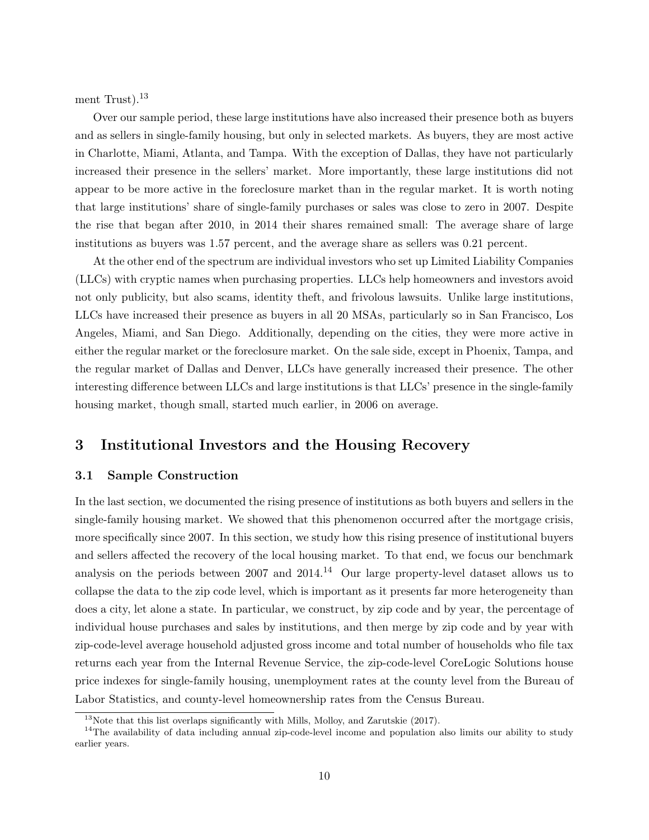ment Trust). $^{13}$ 

Over our sample period, these large institutions have also increased their presence both as buyers and as sellers in single-family housing, but only in selected markets. As buyers, they are most active in Charlotte, Miami, Atlanta, and Tampa. With the exception of Dallas, they have not particularly increased their presence in the sellers' market. More importantly, these large institutions did not appear to be more active in the foreclosure market than in the regular market. It is worth noting that large institutions' share of single-family purchases or sales was close to zero in 2007. Despite the rise that began after 2010, in 2014 their shares remained small: The average share of large institutions as buyers was 1.57 percent, and the average share as sellers was 0.21 percent.

At the other end of the spectrum are individual investors who set up Limited Liability Companies (LLCs) with cryptic names when purchasing properties. LLCs help homeowners and investors avoid not only publicity, but also scams, identity theft, and frivolous lawsuits. Unlike large institutions, LLCs have increased their presence as buyers in all 20 MSAs, particularly so in San Francisco, Los Angeles, Miami, and San Diego. Additionally, depending on the cities, they were more active in either the regular market or the foreclosure market. On the sale side, except in Phoenix, Tampa, and the regular market of Dallas and Denver, LLCs have generally increased their presence. The other interesting difference between LLCs and large institutions is that LLCs' presence in the single-family housing market, though small, started much earlier, in 2006 on average.

# 3 Institutional Investors and the Housing Recovery

### 3.1 Sample Construction

In the last section, we documented the rising presence of institutions as both buyers and sellers in the single-family housing market. We showed that this phenomenon occurred after the mortgage crisis, more specifically since 2007. In this section, we study how this rising presence of institutional buyers and sellers affected the recovery of the local housing market. To that end, we focus our benchmark analysis on the periods between 2007 and  $2014<sup>14</sup>$  Our large property-level dataset allows us to collapse the data to the zip code level, which is important as it presents far more heterogeneity than does a city, let alone a state. In particular, we construct, by zip code and by year, the percentage of individual house purchases and sales by institutions, and then merge by zip code and by year with zip-code-level average household adjusted gross income and total number of households who file tax returns each year from the Internal Revenue Service, the zip-code-level CoreLogic Solutions house price indexes for single-family housing, unemployment rates at the county level from the Bureau of Labor Statistics, and county-level homeownership rates from the Census Bureau.

<sup>&</sup>lt;sup>13</sup>Note that this list overlaps significantly with Mills, Molloy, and Zarutskie (2017).

<sup>&</sup>lt;sup>14</sup>The availability of data including annual zip-code-level income and population also limits our ability to study earlier years.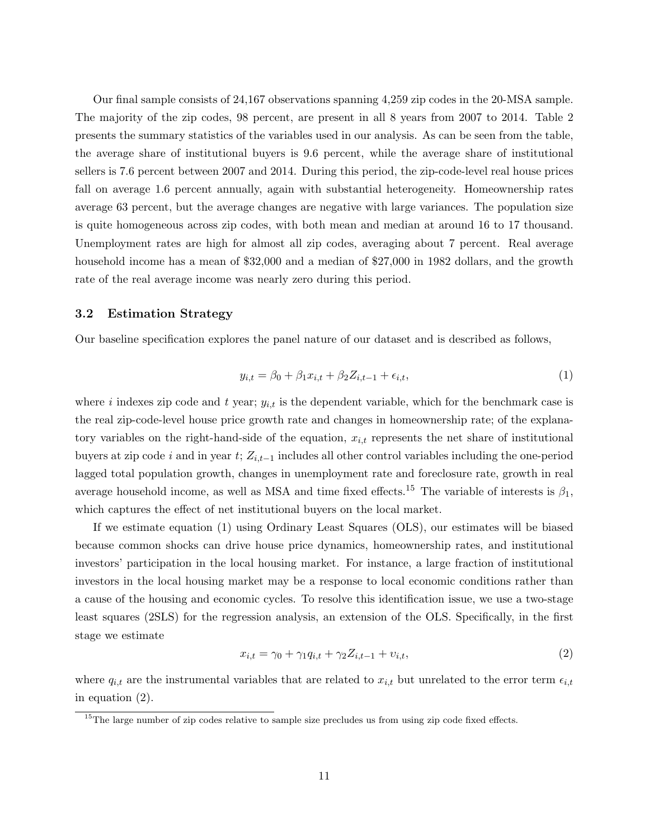Our final sample consists of 24,167 observations spanning 4,259 zip codes in the 20-MSA sample. The majority of the zip codes, 98 percent, are present in all 8 years from 2007 to 2014. Table 2 presents the summary statistics of the variables used in our analysis. As can be seen from the table, the average share of institutional buyers is 9.6 percent, while the average share of institutional sellers is 7.6 percent between 2007 and 2014. During this period, the zip-code-level real house prices fall on average 1.6 percent annually, again with substantial heterogeneity. Homeownership rates average 63 percent, but the average changes are negative with large variances. The population size is quite homogeneous across zip codes, with both mean and median at around 16 to 17 thousand. Unemployment rates are high for almost all zip codes, averaging about 7 percent. Real average household income has a mean of \$32,000 and a median of \$27,000 in 1982 dollars, and the growth rate of the real average income was nearly zero during this period.

# 3.2 Estimation Strategy

Our baseline specification explores the panel nature of our dataset and is described as follows,

$$
y_{i,t} = \beta_0 + \beta_1 x_{i,t} + \beta_2 Z_{i,t-1} + \epsilon_{i,t},\tag{1}
$$

where i indexes zip code and t year;  $y_{i,t}$  is the dependent variable, which for the benchmark case is the real zip-code-level house price growth rate and changes in homeownership rate; of the explanatory variables on the right-hand-side of the equation,  $x_{i,t}$  represents the net share of institutional buyers at zip code i and in year t;  $Z_{i,t-1}$  includes all other control variables including the one-period lagged total population growth, changes in unemployment rate and foreclosure rate, growth in real average household income, as well as MSA and time fixed effects.<sup>15</sup> The variable of interests is  $\beta_1$ , which captures the effect of net institutional buyers on the local market.

If we estimate equation (1) using Ordinary Least Squares (OLS), our estimates will be biased because common shocks can drive house price dynamics, homeownership rates, and institutional investors' participation in the local housing market. For instance, a large fraction of institutional investors in the local housing market may be a response to local economic conditions rather than a cause of the housing and economic cycles. To resolve this identification issue, we use a two-stage least squares (2SLS) for the regression analysis, an extension of the OLS. Specifically, in the first stage we estimate

$$
x_{i,t} = \gamma_0 + \gamma_1 q_{i,t} + \gamma_2 Z_{i,t-1} + v_{i,t},
$$
\n(2)

where  $q_{i,t}$  are the instrumental variables that are related to  $x_{i,t}$  but unrelated to the error term  $\epsilon_{i,t}$ in equation (2).

<sup>&</sup>lt;sup>15</sup>The large number of zip codes relative to sample size precludes us from using zip code fixed effects.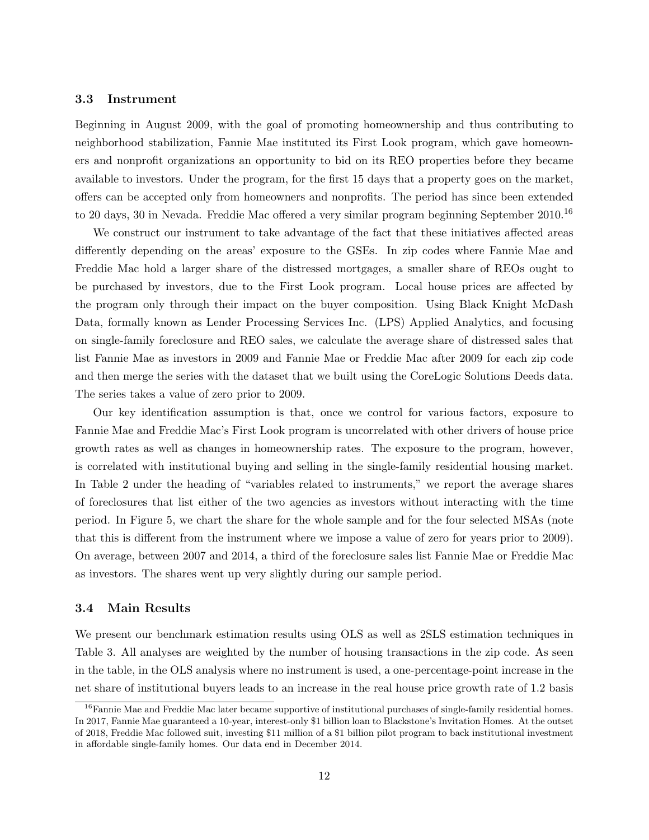# 3.3 Instrument

Beginning in August 2009, with the goal of promoting homeownership and thus contributing to neighborhood stabilization, Fannie Mae instituted its First Look program, which gave homeowners and nonprofit organizations an opportunity to bid on its REO properties before they became available to investors. Under the program, for the first 15 days that a property goes on the market, offers can be accepted only from homeowners and nonprofits. The period has since been extended to 20 days, 30 in Nevada. Freddie Mac offered a very similar program beginning September 2010.<sup>16</sup>

We construct our instrument to take advantage of the fact that these initiatives affected areas differently depending on the areas' exposure to the GSEs. In zip codes where Fannie Mae and Freddie Mac hold a larger share of the distressed mortgages, a smaller share of REOs ought to be purchased by investors, due to the First Look program. Local house prices are affected by the program only through their impact on the buyer composition. Using Black Knight McDash Data, formally known as Lender Processing Services Inc. (LPS) Applied Analytics, and focusing on single-family foreclosure and REO sales, we calculate the average share of distressed sales that list Fannie Mae as investors in 2009 and Fannie Mae or Freddie Mac after 2009 for each zip code and then merge the series with the dataset that we built using the CoreLogic Solutions Deeds data. The series takes a value of zero prior to 2009.

Our key identification assumption is that, once we control for various factors, exposure to Fannie Mae and Freddie Mac's First Look program is uncorrelated with other drivers of house price growth rates as well as changes in homeownership rates. The exposure to the program, however, is correlated with institutional buying and selling in the single-family residential housing market. In Table 2 under the heading of "variables related to instruments," we report the average shares of foreclosures that list either of the two agencies as investors without interacting with the time period. In Figure 5, we chart the share for the whole sample and for the four selected MSAs (note that this is different from the instrument where we impose a value of zero for years prior to 2009). On average, between 2007 and 2014, a third of the foreclosure sales list Fannie Mae or Freddie Mac as investors. The shares went up very slightly during our sample period.

# 3.4 Main Results

We present our benchmark estimation results using OLS as well as 2SLS estimation techniques in Table 3. All analyses are weighted by the number of housing transactions in the zip code. As seen in the table, in the OLS analysis where no instrument is used, a one-percentage-point increase in the net share of institutional buyers leads to an increase in the real house price growth rate of 1.2 basis

<sup>&</sup>lt;sup>16</sup>Fannie Mae and Freddie Mac later became supportive of institutional purchases of single-family residential homes. In 2017, Fannie Mae guaranteed a 10-year, interest-only \$1 billion loan to Blackstone's Invitation Homes. At the outset of 2018, Freddie Mac followed suit, investing \$11 million of a \$1 billion pilot program to back institutional investment in affordable single-family homes. Our data end in December 2014.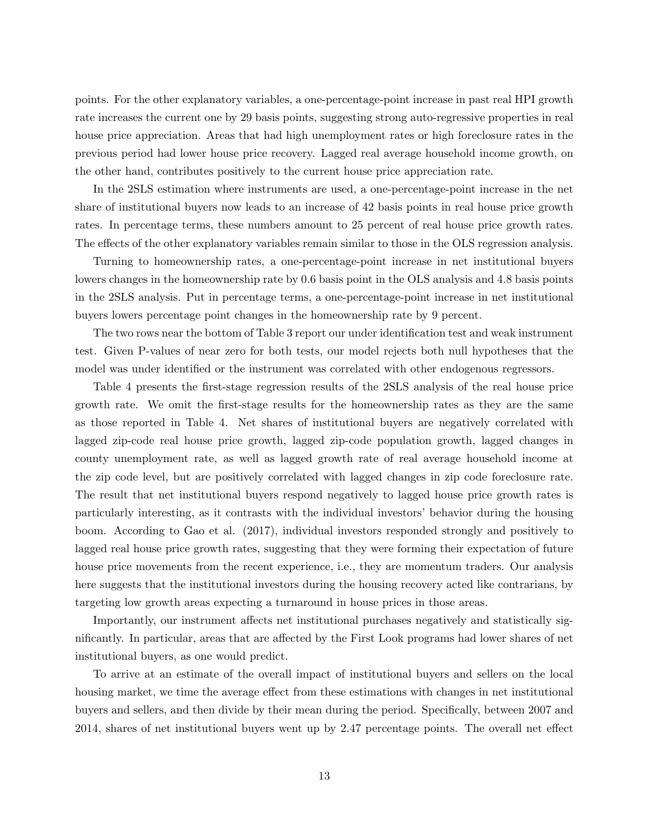points. For the other explanatory variables, a one-percentage-point increase in past real HPI growth rate increases the current one by 29 basis points, suggesting strong auto-regressive properties in real house price appreciation. Areas that had high unemployment rates or high foreclosure rates in the previous period had lower house price recovery. Lagged real average household income growth, on the other hand, contributes positively to the current house price appreciation rate.

In the 2SLS estimation where instruments are used, a one-percentage-point increase in the net share of institutional buyers now leads to an increase of 42 basis points in real house price growth rates. In percentage terms, these numbers amount to 25 percent of real house price growth rates. The effects of the other explanatory variables remain similar to those in the OLS regression analysis.

Turning to homeownership rates, a one-percentage-point increase in net institutional buyers lowers changes in the homeownership rate by 0.6 basis point in the OLS analysis and 4.8 basis points in the 2SLS analysis. Put in percentage terms, a one-percentage-point increase in net institutional buyers lowers percentage point changes in the homeownership rate by 9 percent.

The two rows near the bottom of Table 3 report our under identification test and weak instrument test. Given P-values of near zero for both tests, our model rejects both null hypotheses that the model was under identified or the instrument was correlated with other endogenous regressors.

Table 4 presents the first-stage regression results of the 2SLS analysis of the real house price growth rate. We omit the first-stage results for the homeownership rates as they are the same as those reported in Table 4. Net shares of institutional buyers are negatively correlated with lagged zip-code real house price growth, lagged zip-code population growth, lagged changes in county unemployment rate, as well as lagged growth rate of real average household income at the zip code level, but are positively correlated with lagged changes in zip code foreclosure rate. The result that net institutional buyers respond negatively to lagged house price growth rates is particularly interesting, as it contrasts with the individual investors' behavior during the housing boom. According to Gao et al. (2017), individual investors responded strongly and positively to lagged real house price growth rates, suggesting that they were forming their expectation of future house price movements from the recent experience, i.e., they are momentum traders. Our analysis here suggests that the institutional investors during the housing recovery acted like contrarians, by targeting low growth areas expecting a turnaround in house prices in those areas.

Importantly, our instrument affects net institutional purchases negatively and statistically significantly. In particular, areas that are affected by the First Look programs had lower shares of net institutional buyers, as one would predict.

To arrive at an estimate of the overall impact of institutional buyers and sellers on the local housing market, we time the average effect from these estimations with changes in net institutional buyers and sellers, and then divide by their mean during the period. Specifically, between 2007 and 2014, shares of net institutional buyers went up by 2.47 percentage points. The overall net effect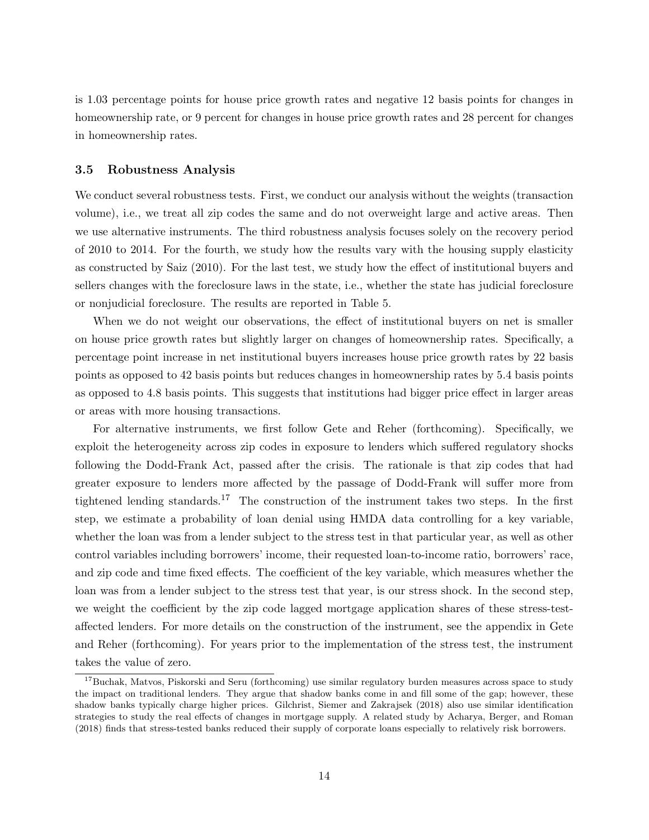is 1.03 percentage points for house price growth rates and negative 12 basis points for changes in homeownership rate, or 9 percent for changes in house price growth rates and 28 percent for changes in homeownership rates.

## 3.5 Robustness Analysis

We conduct several robustness tests. First, we conduct our analysis without the weights (transaction volume), i.e., we treat all zip codes the same and do not overweight large and active areas. Then we use alternative instruments. The third robustness analysis focuses solely on the recovery period of 2010 to 2014. For the fourth, we study how the results vary with the housing supply elasticity as constructed by Saiz (2010). For the last test, we study how the effect of institutional buyers and sellers changes with the foreclosure laws in the state, i.e., whether the state has judicial foreclosure or nonjudicial foreclosure. The results are reported in Table 5.

When we do not weight our observations, the effect of institutional buyers on net is smaller on house price growth rates but slightly larger on changes of homeownership rates. Specifically, a percentage point increase in net institutional buyers increases house price growth rates by 22 basis points as opposed to 42 basis points but reduces changes in homeownership rates by 5.4 basis points as opposed to 4.8 basis points. This suggests that institutions had bigger price effect in larger areas or areas with more housing transactions.

For alternative instruments, we first follow Gete and Reher (forthcoming). Specifically, we exploit the heterogeneity across zip codes in exposure to lenders which suffered regulatory shocks following the Dodd-Frank Act, passed after the crisis. The rationale is that zip codes that had greater exposure to lenders more affected by the passage of Dodd-Frank will suffer more from tightened lending standards.<sup>17</sup> The construction of the instrument takes two steps. In the first step, we estimate a probability of loan denial using HMDA data controlling for a key variable, whether the loan was from a lender subject to the stress test in that particular year, as well as other control variables including borrowers' income, their requested loan-to-income ratio, borrowers' race, and zip code and time fixed effects. The coefficient of the key variable, which measures whether the loan was from a lender subject to the stress test that year, is our stress shock. In the second step, we weight the coefficient by the zip code lagged mortgage application shares of these stress-testaffected lenders. For more details on the construction of the instrument, see the appendix in Gete and Reher (forthcoming). For years prior to the implementation of the stress test, the instrument takes the value of zero.

<sup>&</sup>lt;sup>17</sup>Buchak, Matvos, Piskorski and Seru (forthcoming) use similar regulatory burden measures across space to study the impact on traditional lenders. They argue that shadow banks come in and fill some of the gap; however, these shadow banks typically charge higher prices. Gilchrist, Siemer and Zakrajsek (2018) also use similar identification strategies to study the real effects of changes in mortgage supply. A related study by Acharya, Berger, and Roman (2018) finds that stress-tested banks reduced their supply of corporate loans especially to relatively risk borrowers.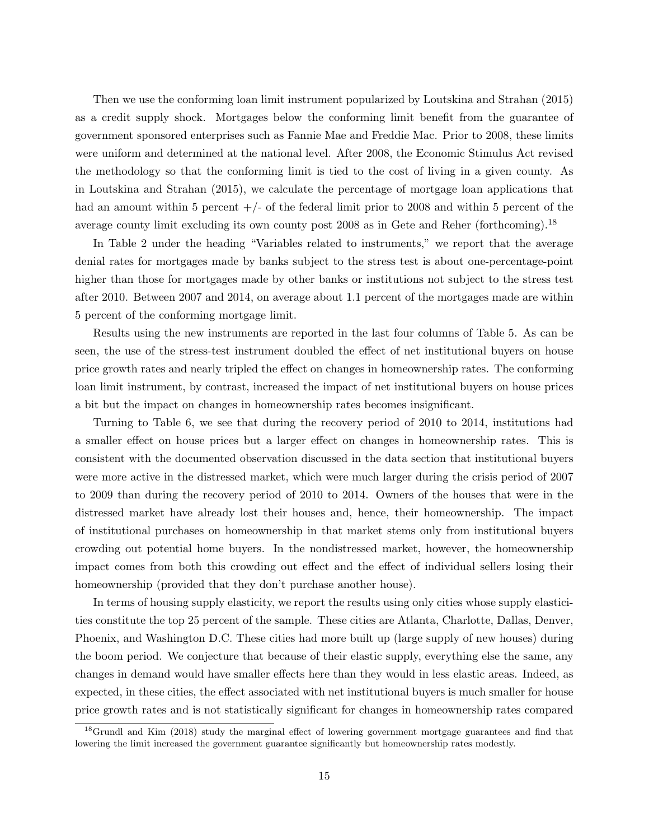Then we use the conforming loan limit instrument popularized by Loutskina and Strahan (2015) as a credit supply shock. Mortgages below the conforming limit benefit from the guarantee of government sponsored enterprises such as Fannie Mae and Freddie Mac. Prior to 2008, these limits were uniform and determined at the national level. After 2008, the Economic Stimulus Act revised the methodology so that the conforming limit is tied to the cost of living in a given county. As in Loutskina and Strahan (2015), we calculate the percentage of mortgage loan applications that had an amount within 5 percent  $+/-$  of the federal limit prior to 2008 and within 5 percent of the average county limit excluding its own county post 2008 as in Gete and Reher (forthcoming).<sup>18</sup>

In Table 2 under the heading "Variables related to instruments," we report that the average denial rates for mortgages made by banks subject to the stress test is about one-percentage-point higher than those for mortgages made by other banks or institutions not subject to the stress test after 2010. Between 2007 and 2014, on average about 1.1 percent of the mortgages made are within 5 percent of the conforming mortgage limit.

Results using the new instruments are reported in the last four columns of Table 5. As can be seen, the use of the stress-test instrument doubled the effect of net institutional buyers on house price growth rates and nearly tripled the effect on changes in homeownership rates. The conforming loan limit instrument, by contrast, increased the impact of net institutional buyers on house prices a bit but the impact on changes in homeownership rates becomes insignificant.

Turning to Table 6, we see that during the recovery period of 2010 to 2014, institutions had a smaller effect on house prices but a larger effect on changes in homeownership rates. This is consistent with the documented observation discussed in the data section that institutional buyers were more active in the distressed market, which were much larger during the crisis period of 2007 to 2009 than during the recovery period of 2010 to 2014. Owners of the houses that were in the distressed market have already lost their houses and, hence, their homeownership. The impact of institutional purchases on homeownership in that market stems only from institutional buyers crowding out potential home buyers. In the nondistressed market, however, the homeownership impact comes from both this crowding out effect and the effect of individual sellers losing their homeownership (provided that they don't purchase another house).

In terms of housing supply elasticity, we report the results using only cities whose supply elasticities constitute the top 25 percent of the sample. These cities are Atlanta, Charlotte, Dallas, Denver, Phoenix, and Washington D.C. These cities had more built up (large supply of new houses) during the boom period. We conjecture that because of their elastic supply, everything else the same, any changes in demand would have smaller effects here than they would in less elastic areas. Indeed, as expected, in these cities, the effect associated with net institutional buyers is much smaller for house price growth rates and is not statistically significant for changes in homeownership rates compared

<sup>&</sup>lt;sup>18</sup>Grundl and Kim (2018) study the marginal effect of lowering government mortgage guarantees and find that lowering the limit increased the government guarantee significantly but homeownership rates modestly.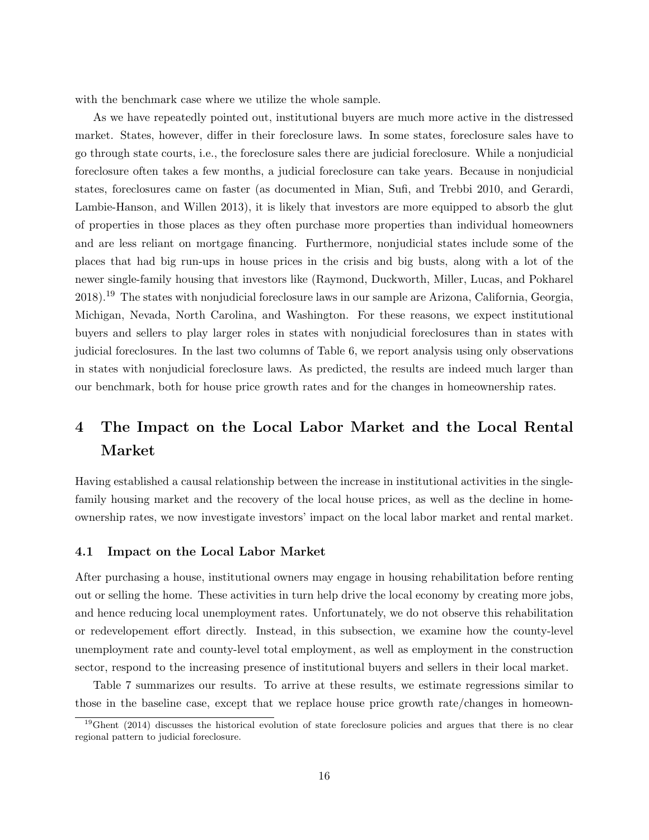with the benchmark case where we utilize the whole sample.

As we have repeatedly pointed out, institutional buyers are much more active in the distressed market. States, however, differ in their foreclosure laws. In some states, foreclosure sales have to go through state courts, i.e., the foreclosure sales there are judicial foreclosure. While a nonjudicial foreclosure often takes a few months, a judicial foreclosure can take years. Because in nonjudicial states, foreclosures came on faster (as documented in Mian, Sufi, and Trebbi 2010, and Gerardi, Lambie-Hanson, and Willen 2013), it is likely that investors are more equipped to absorb the glut of properties in those places as they often purchase more properties than individual homeowners and are less reliant on mortgage financing. Furthermore, nonjudicial states include some of the places that had big run-ups in house prices in the crisis and big busts, along with a lot of the newer single-family housing that investors like (Raymond, Duckworth, Miller, Lucas, and Pokharel 2018).<sup>19</sup> The states with nonjudicial foreclosure laws in our sample are Arizona, California, Georgia, Michigan, Nevada, North Carolina, and Washington. For these reasons, we expect institutional buyers and sellers to play larger roles in states with nonjudicial foreclosures than in states with judicial foreclosures. In the last two columns of Table 6, we report analysis using only observations in states with nonjudicial foreclosure laws. As predicted, the results are indeed much larger than our benchmark, both for house price growth rates and for the changes in homeownership rates.

# 4 The Impact on the Local Labor Market and the Local Rental Market

Having established a causal relationship between the increase in institutional activities in the singlefamily housing market and the recovery of the local house prices, as well as the decline in homeownership rates, we now investigate investors' impact on the local labor market and rental market.

### 4.1 Impact on the Local Labor Market

After purchasing a house, institutional owners may engage in housing rehabilitation before renting out or selling the home. These activities in turn help drive the local economy by creating more jobs, and hence reducing local unemployment rates. Unfortunately, we do not observe this rehabilitation or redevelopement effort directly. Instead, in this subsection, we examine how the county-level unemployment rate and county-level total employment, as well as employment in the construction sector, respond to the increasing presence of institutional buyers and sellers in their local market.

Table 7 summarizes our results. To arrive at these results, we estimate regressions similar to those in the baseline case, except that we replace house price growth rate/changes in homeown-

<sup>&</sup>lt;sup>19</sup>Ghent (2014) discusses the historical evolution of state foreclosure policies and argues that there is no clear regional pattern to judicial foreclosure.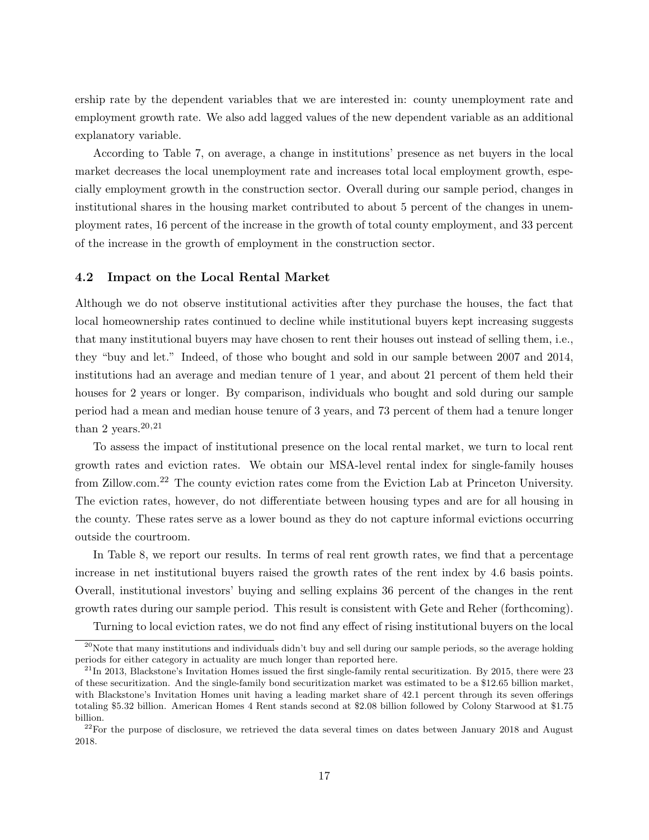ership rate by the dependent variables that we are interested in: county unemployment rate and employment growth rate. We also add lagged values of the new dependent variable as an additional explanatory variable.

According to Table 7, on average, a change in institutions' presence as net buyers in the local market decreases the local unemployment rate and increases total local employment growth, especially employment growth in the construction sector. Overall during our sample period, changes in institutional shares in the housing market contributed to about 5 percent of the changes in unemployment rates, 16 percent of the increase in the growth of total county employment, and 33 percent of the increase in the growth of employment in the construction sector.

# 4.2 Impact on the Local Rental Market

Although we do not observe institutional activities after they purchase the houses, the fact that local homeownership rates continued to decline while institutional buyers kept increasing suggests that many institutional buyers may have chosen to rent their houses out instead of selling them, i.e., they "buy and let." Indeed, of those who bought and sold in our sample between 2007 and 2014, institutions had an average and median tenure of 1 year, and about 21 percent of them held their houses for 2 years or longer. By comparison, individuals who bought and sold during our sample period had a mean and median house tenure of 3 years, and 73 percent of them had a tenure longer than 2 years.  $20,21$ 

To assess the impact of institutional presence on the local rental market, we turn to local rent growth rates and eviction rates. We obtain our MSA-level rental index for single-family houses from Zillow.com.<sup>22</sup> The county eviction rates come from the Eviction Lab at Princeton University. The eviction rates, however, do not differentiate between housing types and are for all housing in the county. These rates serve as a lower bound as they do not capture informal evictions occurring outside the courtroom.

In Table 8, we report our results. In terms of real rent growth rates, we find that a percentage increase in net institutional buyers raised the growth rates of the rent index by 4.6 basis points. Overall, institutional investors' buying and selling explains 36 percent of the changes in the rent growth rates during our sample period. This result is consistent with Gete and Reher (forthcoming).

Turning to local eviction rates, we do not find any effect of rising institutional buyers on the local

 $20$ Note that many institutions and individuals didn't buy and sell during our sample periods, so the average holding periods for either category in actuality are much longer than reported here.

 $^{21}$ In 2013, Blackstone's Invitation Homes issued the first single-family rental securitization. By 2015, there were 23 of these securitization. And the single-family bond securitization market was estimated to be a \$12.65 billion market, with Blackstone's Invitation Homes unit having a leading market share of 42.1 percent through its seven offerings totaling \$5.32 billion. American Homes 4 Rent stands second at \$2.08 billion followed by Colony Starwood at \$1.75 billion.

<sup>&</sup>lt;sup>22</sup>For the purpose of disclosure, we retrieved the data several times on dates between January 2018 and August 2018.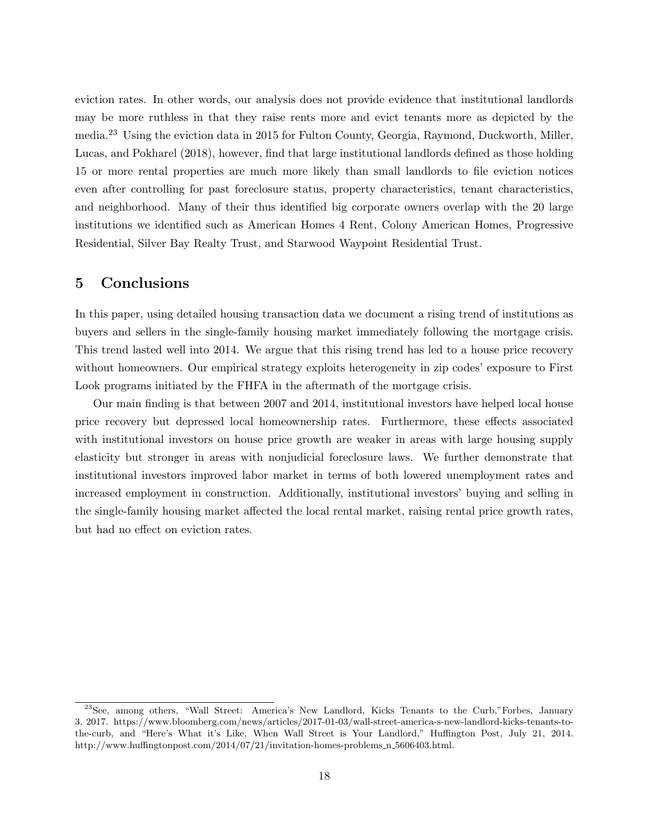eviction rates. In other words, our analysis does not provide evidence that institutional landlords may be more ruthless in that they raise rents more and evict tenants more as depicted by the media.<sup>23</sup> Using the eviction data in 2015 for Fulton County, Georgia, Raymond, Duckworth, Miller, Lucas, and Pokharel (2018), however, find that large institutional landlords defined as those holding 15 or more rental properties are much more likely than small landlords to file eviction notices even after controlling for past foreclosure status, property characteristics, tenant characteristics, and neighborhood. Many of their thus identified big corporate owners overlap with the 20 large institutions we identified such as American Homes 4 Rent, Colony American Homes, Progressive Residential, Silver Bay Realty Trust, and Starwood Waypoint Residential Trust.

# 5 Conclusions

In this paper, using detailed housing transaction data we document a rising trend of institutions as buyers and sellers in the single-family housing market immediately following the mortgage crisis. This trend lasted well into 2014. We argue that this rising trend has led to a house price recovery without homeowners. Our empirical strategy exploits heterogeneity in zip codes' exposure to First Look programs initiated by the FHFA in the aftermath of the mortgage crisis.

Our main finding is that between 2007 and 2014, institutional investors have helped local house price recovery but depressed local homeownership rates. Furthermore, these effects associated with institutional investors on house price growth are weaker in areas with large housing supply elasticity but stronger in areas with nonjudicial foreclosure laws. We further demonstrate that institutional investors improved labor market in terms of both lowered unemployment rates and increased employment in construction. Additionally, institutional investors' buying and selling in the single-family housing market affected the local rental market, raising rental price growth rates, but had no effect on eviction rates.

<sup>23</sup>See, among others, "Wall Street: America's New Landlord, Kicks Tenants to the Curb,"Forbes, January 3, 2017. https://www.bloomberg.com/news/articles/2017-01-03/wall-street-america-s-new-landlord-kicks-tenants-tothe-curb, and "Here's What it's Like, When Wall Street is Your Landlord," Huffington Post, July 21, 2014. http://www.huffingtonpost.com/2014/07/21/invitation-homes-problems n 5606403.html.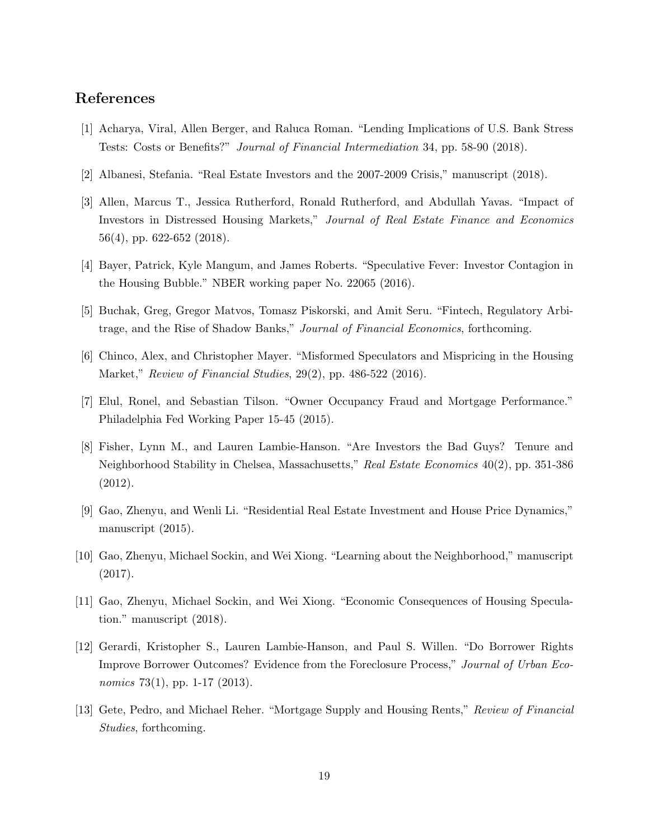# References

- [1] Acharya, Viral, Allen Berger, and Raluca Roman. "Lending Implications of U.S. Bank Stress Tests: Costs or Benefits?" Journal of Financial Intermediation 34, pp. 58-90 (2018).
- [2] Albanesi, Stefania. "Real Estate Investors and the 2007-2009 Crisis," manuscript (2018).
- [3] Allen, Marcus T., Jessica Rutherford, Ronald Rutherford, and Abdullah Yavas. "Impact of Investors in Distressed Housing Markets," Journal of Real Estate Finance and Economics 56(4), pp. 622-652 (2018).
- [4] Bayer, Patrick, Kyle Mangum, and James Roberts. "Speculative Fever: Investor Contagion in the Housing Bubble." NBER working paper No. 22065 (2016).
- [5] Buchak, Greg, Gregor Matvos, Tomasz Piskorski, and Amit Seru. "Fintech, Regulatory Arbitrage, and the Rise of Shadow Banks," Journal of Financial Economics, forthcoming.
- [6] Chinco, Alex, and Christopher Mayer. "Misformed Speculators and Mispricing in the Housing Market," Review of Financial Studies, 29(2), pp. 486-522 (2016).
- [7] Elul, Ronel, and Sebastian Tilson. "Owner Occupancy Fraud and Mortgage Performance." Philadelphia Fed Working Paper 15-45 (2015).
- [8] Fisher, Lynn M., and Lauren Lambie-Hanson. "Are Investors the Bad Guys? Tenure and Neighborhood Stability in Chelsea, Massachusetts," Real Estate Economics 40(2), pp. 351-386 (2012).
- [9] Gao, Zhenyu, and Wenli Li. "Residential Real Estate Investment and House Price Dynamics," manuscript (2015).
- [10] Gao, Zhenyu, Michael Sockin, and Wei Xiong. "Learning about the Neighborhood," manuscript (2017).
- [11] Gao, Zhenyu, Michael Sockin, and Wei Xiong. "Economic Consequences of Housing Speculation." manuscript (2018).
- [12] Gerardi, Kristopher S., Lauren Lambie-Hanson, and Paul S. Willen. "Do Borrower Rights Improve Borrower Outcomes? Evidence from the Foreclosure Process," Journal of Urban Economics 73(1), pp. 1-17 (2013).
- [13] Gete, Pedro, and Michael Reher. "Mortgage Supply and Housing Rents," Review of Financial Studies, forthcoming.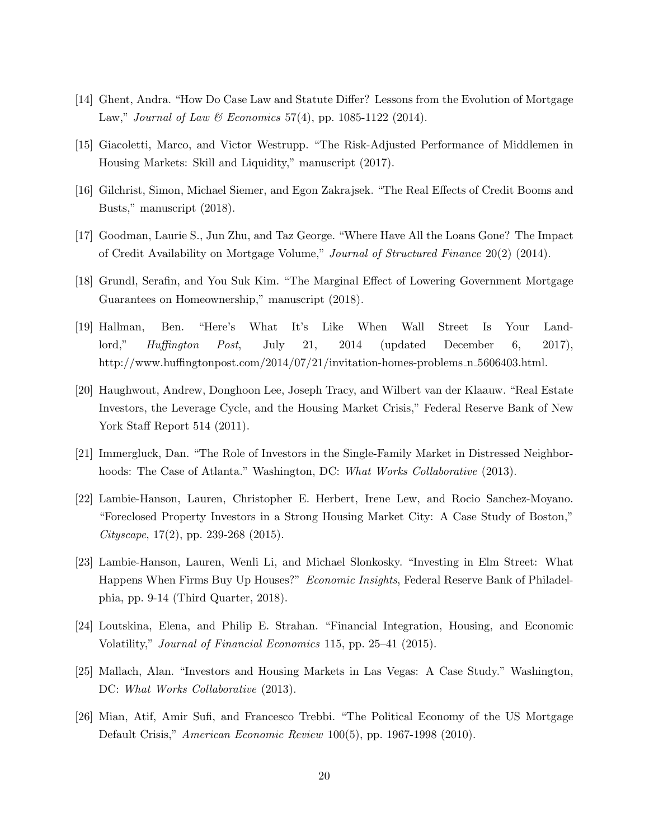- [14] Ghent, Andra. "How Do Case Law and Statute Differ? Lessons from the Evolution of Mortgage Law," Journal of Law & Economics 57(4), pp. 1085-1122 (2014).
- [15] Giacoletti, Marco, and Victor Westrupp. "The Risk-Adjusted Performance of Middlemen in Housing Markets: Skill and Liquidity," manuscript (2017).
- [16] Gilchrist, Simon, Michael Siemer, and Egon Zakrajsek. "The Real Effects of Credit Booms and Busts," manuscript (2018).
- [17] Goodman, Laurie S., Jun Zhu, and Taz George. "Where Have All the Loans Gone? The Impact of Credit Availability on Mortgage Volume," Journal of Structured Finance 20(2) (2014).
- [18] Grundl, Serafin, and You Suk Kim. "The Marginal Effect of Lowering Government Mortgage Guarantees on Homeownership," manuscript (2018).
- [19] Hallman, Ben. "Here's What It's Like When Wall Street Is Your Landlord," Huffington Post, July 21, 2014 (updated December 6, 2017), http://www.huffingtonpost.com/2014/07/21/invitation-homes-problems n 5606403.html.
- [20] Haughwout, Andrew, Donghoon Lee, Joseph Tracy, and Wilbert van der Klaauw. "Real Estate Investors, the Leverage Cycle, and the Housing Market Crisis," Federal Reserve Bank of New York Staff Report 514 (2011).
- [21] Immergluck, Dan. "The Role of Investors in the Single-Family Market in Distressed Neighborhoods: The Case of Atlanta." Washington, DC: What Works Collaborative (2013).
- [22] Lambie-Hanson, Lauren, Christopher E. Herbert, Irene Lew, and Rocio Sanchez-Moyano. "Foreclosed Property Investors in a Strong Housing Market City: A Case Study of Boston," Cityscape,  $17(2)$ , pp. 239-268 (2015).
- [23] Lambie-Hanson, Lauren, Wenli Li, and Michael Slonkosky. "Investing in Elm Street: What Happens When Firms Buy Up Houses?" Economic Insights, Federal Reserve Bank of Philadelphia, pp. 9-14 (Third Quarter, 2018).
- [24] Loutskina, Elena, and Philip E. Strahan. "Financial Integration, Housing, and Economic Volatility," Journal of Financial Economics 115, pp. 25–41 (2015).
- [25] Mallach, Alan. "Investors and Housing Markets in Las Vegas: A Case Study." Washington, DC: What Works Collaborative (2013).
- [26] Mian, Atif, Amir Sufi, and Francesco Trebbi. "The Political Economy of the US Mortgage Default Crisis," American Economic Review 100(5), pp. 1967-1998 (2010).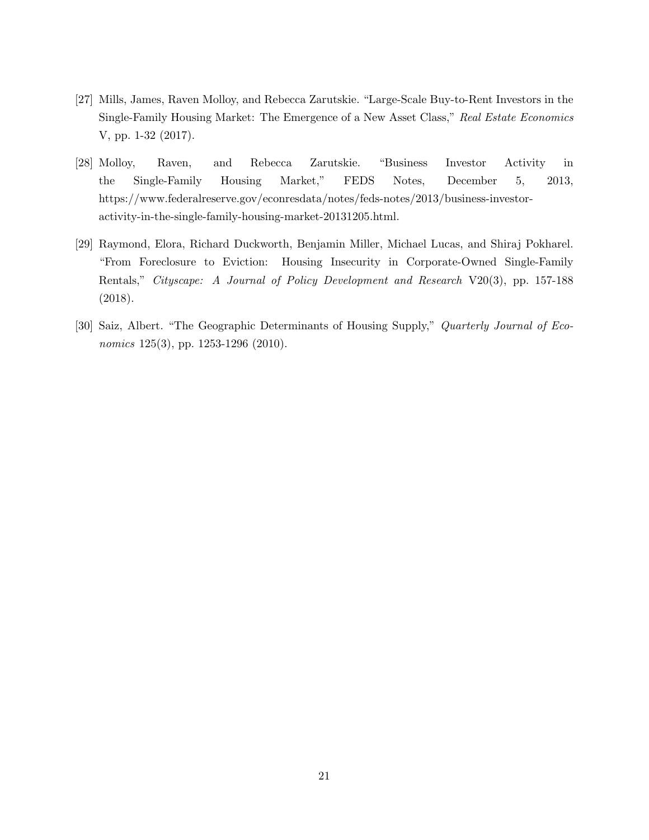- [27] Mills, James, Raven Molloy, and Rebecca Zarutskie. "Large-Scale Buy-to-Rent Investors in the Single-Family Housing Market: The Emergence of a New Asset Class," Real Estate Economics V, pp. 1-32 (2017).
- [28] Molloy, Raven, and Rebecca Zarutskie. "Business Investor Activity in the Single-Family Housing Market," FEDS Notes, December 5, 2013, https://www.federalreserve.gov/econresdata/notes/feds-notes/2013/business-investoractivity-in-the-single-family-housing-market-20131205.html.
- [29] Raymond, Elora, Richard Duckworth, Benjamin Miller, Michael Lucas, and Shiraj Pokharel. "From Foreclosure to Eviction: Housing Insecurity in Corporate-Owned Single-Family Rentals," Cityscape: A Journal of Policy Development and Research V20(3), pp. 157-188 (2018).
- [30] Saiz, Albert. "The Geographic Determinants of Housing Supply," Quarterly Journal of Economics 125(3), pp. 1253-1296 (2010).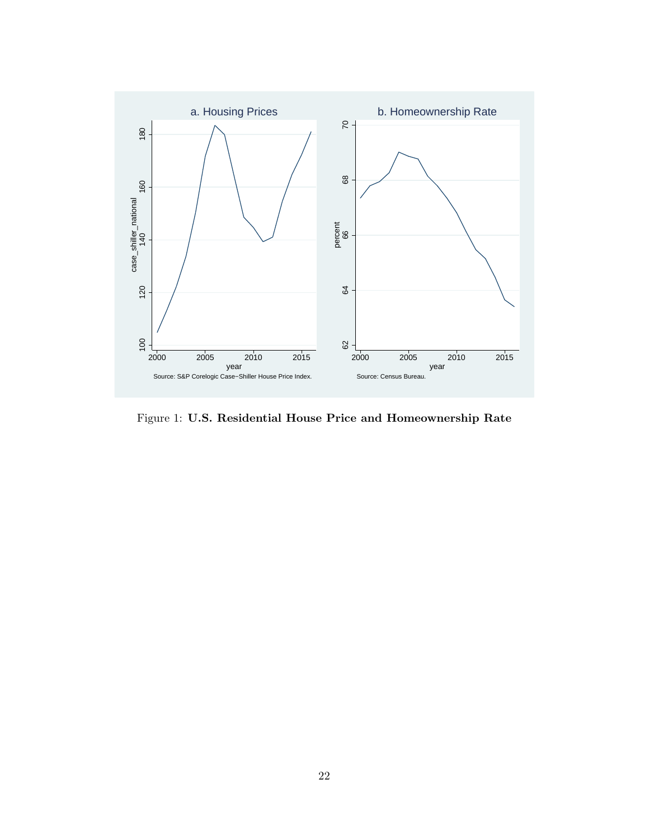

Figure 1: U.S. Residential House Price and Homeownership Rate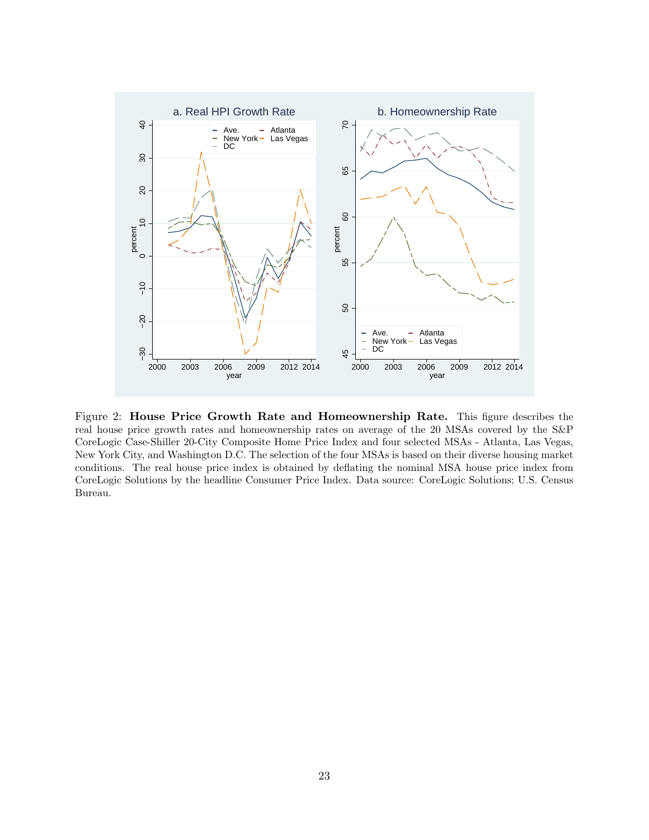

Figure 2: House Price Growth Rate and Homeownership Rate. This figure describes the real house price growth rates and homeownership rates on average of the 20 MSAs covered by the S&P CoreLogic Case-Shiller 20-City Composite Home Price Index and four selected MSAs - Atlanta, Las Vegas, New York City, and Washington D.C. The selection of the four MSAs is based on their diverse housing market conditions. The real house price index is obtained by deflating the nominal MSA house price index from CoreLogic Solutions by the headline Consumer Price Index. Data source: CoreLogic Solutions; U.S. Census Bureau.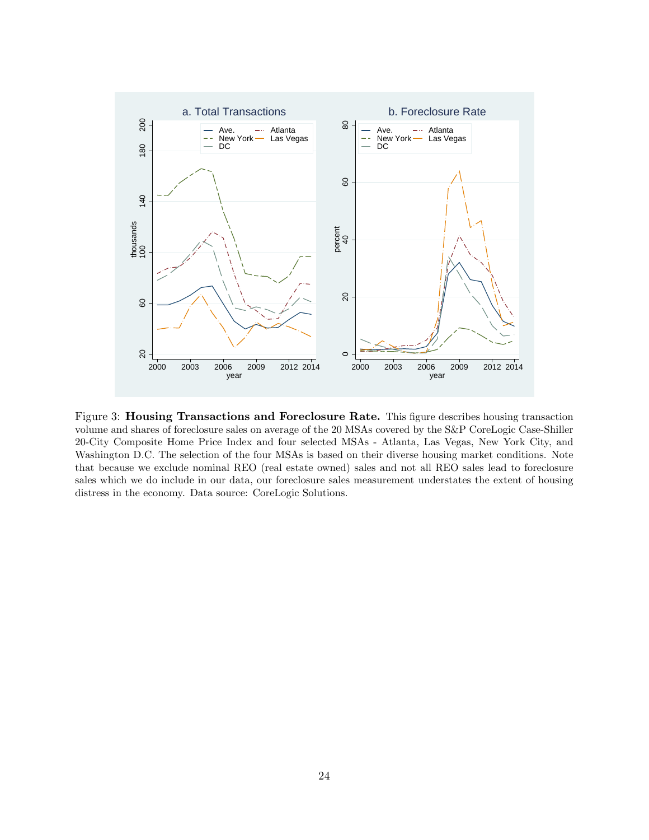

Figure 3: Housing Transactions and Foreclosure Rate. This figure describes housing transaction volume and shares of foreclosure sales on average of the 20 MSAs covered by the S&P CoreLogic Case-Shiller 20-City Composite Home Price Index and four selected MSAs - Atlanta, Las Vegas, New York City, and Washington D.C. The selection of the four MSAs is based on their diverse housing market conditions. Note that because we exclude nominal REO (real estate owned) sales and not all REO sales lead to foreclosure sales which we do include in our data, our foreclosure sales measurement understates the extent of housing distress in the economy. Data source: CoreLogic Solutions.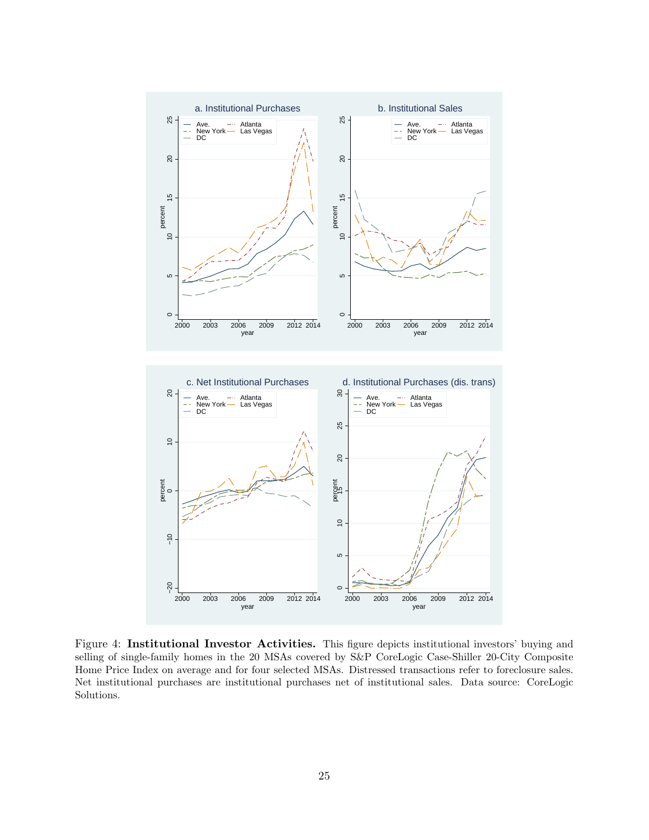

Figure 4: Institutional Investor Activities. This figure depicts institutional investors' buying and selling of single-family homes in the 20 MSAs covered by S&P CoreLogic Case-Shiller 20-City Composite Home Price Index on average and for four selected MSAs. Distressed transactions refer to foreclosure sales. Net institutional purchases are institutional purchases net of institutional sales. Data source: CoreLogic Solutions.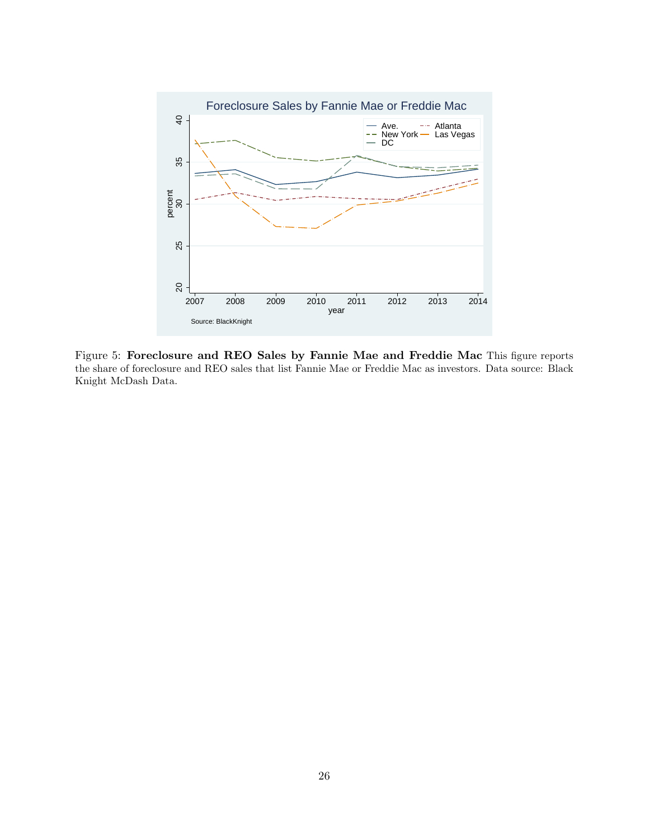

Figure 5: Foreclosure and REO Sales by Fannie Mae and Freddie Mac This figure reports the share of foreclosure and REO sales that list Fannie Mae or Freddie Mac as investors. Data source: Black Knight McDash Data.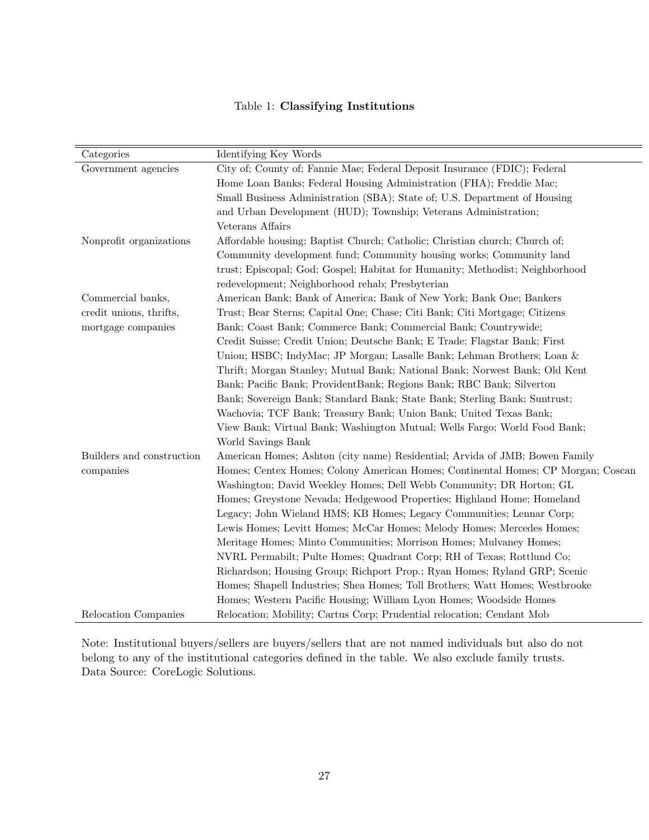# Table 1: Classifying Institutions

| Categories                | Identifying Key Words                                                            |
|---------------------------|----------------------------------------------------------------------------------|
| Government agencies       | City of; County of; Fannie Mae; Federal Deposit Insurance (FDIC); Federal        |
|                           | Home Loan Banks; Federal Housing Administration (FHA); Freddie Mac;              |
|                           | Small Business Administration (SBA); State of; U.S. Department of Housing        |
|                           | and Urban Development (HUD); Township; Veterans Administration;                  |
|                           | Veterans Affairs                                                                 |
| Nonprofit organizations   | Affordable housing; Baptist Church; Catholic; Christian church; Church of;       |
|                           | Community development fund; Community housing works; Community land              |
|                           | trust; Episcopal; God; Gospel; Habitat for Humanity; Methodist; Neighborhood     |
|                           | redevelopment; Neighborhood rehab; Presbyterian                                  |
| Commercial banks,         | American Bank; Bank of America; Bank of New York; Bank One; Bankers              |
| credit unions, thrifts,   | Trust; Bear Sterns; Capital One; Chase; Citi Bank; Citi Mortgage; Citizens       |
| mortgage companies        | Bank; Coast Bank; Commerce Bank; Commercial Bank; Countrywide;                   |
|                           | Credit Suisse; Credit Union; Deutsche Bank; E Trade; Flagstar Bank; First        |
|                           | Union; HSBC; IndyMac; JP Morgan; Lasalle Bank; Lehman Brothers; Loan &           |
|                           | Thrift; Morgan Stanley; Mutual Bank; National Bank; Norwest Bank; Old Kent       |
|                           | Bank; Pacific Bank; ProvidentBank; Regions Bank; RBC Bank; Silverton             |
|                           | Bank; Sovereign Bank; Standard Bank; State Bank; Sterling Bank; Suntrust;        |
|                           | Wachovia; TCF Bank; Treasury Bank; Union Bank; United Texas Bank;                |
|                           | View Bank; Virtual Bank; Washington Mutual; Wells Fargo; World Food Bank;        |
|                           | World Savings Bank                                                               |
| Builders and construction | American Homes; Ashton (city name) Residential; Arvida of JMB; Bowen Family      |
| companies                 | Homes; Centex Homes; Colony American Homes; Continental Homes; CP Morgan; Coscan |
|                           | Washington; David Weekley Homes; Dell Webb Community; DR Horton; GL              |
|                           | Homes; Greystone Nevada; Hedgewood Properties; Highland Home; Homeland           |
|                           | Legacy; John Wieland HMS; KB Homes; Legacy Communities; Lennar Corp;             |
|                           | Lewis Homes; Levitt Homes; McCar Homes; Melody Homes; Mercedes Homes;            |
|                           | Meritage Homes; Minto Communities; Morrison Homes; Mulvaney Homes;               |
|                           | NVRL Permabilt; Pulte Homes; Quadrant Corp; RH of Texas; Rottlund Co;            |
|                           | Richardson; Housing Group; Richport Prop.; Ryan Homes; Ryland GRP; Scenic        |
|                           | Homes; Shapell Industries; Shea Homes; Toll Brothers; Watt Homes; Westbrooke     |
|                           | Homes; Western Pacific Housing; William Lyon Homes; Woodside Homes               |
| Relocation Companies      | Relocation; Mobility; Cartus Corp; Prudential relocation; Cendant Mob            |

Note: Institutional buyers/sellers are buyers/sellers that are not named individuals but also do not belong to any of the institutional categories defined in the table. We also exclude family trusts. Data Source: CoreLogic Solutions.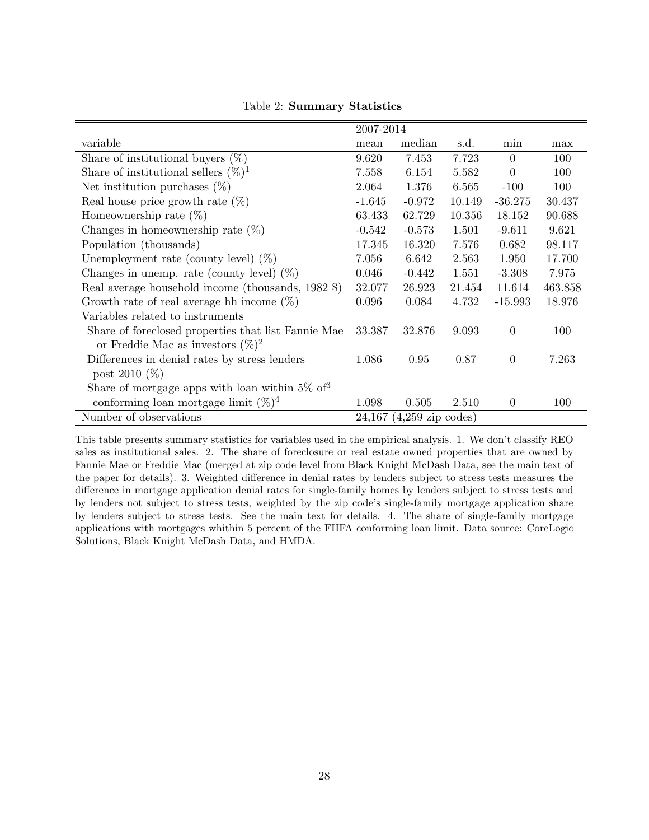|                                                     | 2007-2014 |                              |        |                |         |
|-----------------------------------------------------|-----------|------------------------------|--------|----------------|---------|
| variable                                            | mean      | median                       | s.d.   | min            | max     |
| Share of institutional buyers $(\%)$                | 9.620     | 7.453                        | 7.723  | $\overline{0}$ | 100     |
| Share of institutional sellers $(\%)^1$             | 7.558     | 6.154                        | 5.582  | $\overline{0}$ | 100     |
| Net institution purchases $(\%)$                    | 2.064     | 1.376                        | 6.565  | $-100$         | 100     |
| Real house price growth rate $(\%)$                 | $-1.645$  | $-0.972$                     | 10.149 | $-36.275$      | 30.437  |
| Homeownership rate $(\%)$                           | 63.433    | 62.729                       | 10.356 | 18.152         | 90.688  |
| Changes in homeownership rate $(\%)$                | $-0.542$  | $-0.573$                     | 1.501  | $-9.611$       | 9.621   |
| Population (thousands)                              | 17.345    | 16.320                       | 7.576  | 0.682          | 98.117  |
| Unemployment rate (county level) $(\%)$             | 7.056     | 6.642                        | 2.563  | 1.950          | 17.700  |
| Changes in unemp. rate (county level) $(\%)$        | 0.046     | $-0.442$                     | 1.551  | $-3.308$       | 7.975   |
| Real average household income (thousands, 1982 \$)  | 32.077    | 26.923                       | 21.454 | 11.614         | 463.858 |
| Growth rate of real average hh income $(\%)$        | 0.096     | 0.084                        | 4.732  | $-15.993$      | 18.976  |
| Variables related to instruments                    |           |                              |        |                |         |
| Share of foreclosed properties that list Fannie Mae | 33.387    | 32.876                       | 9.093  | $\overline{0}$ | 100     |
| or Freddie Mac as investors $(\%)^2$                |           |                              |        |                |         |
| Differences in denial rates by stress lenders       | 1.086     | 0.95                         | 0.87   | $\overline{0}$ | 7.263   |
| post 2010 $(\%)$                                    |           |                              |        |                |         |
| Share of mortgage apps with loan within $5\%$ of 3  |           |                              |        |                |         |
| conforming loan mortgage limit $(\%)^4$             | 1.098     | 0.505                        | 2.510  | $\theta$       | 100     |
| Number of observations                              |           | $24,167$ $(4,259$ zip codes) |        |                |         |

Table 2: Summary Statistics

This table presents summary statistics for variables used in the empirical analysis. 1. We don't classify REO sales as institutional sales. 2. The share of foreclosure or real estate owned properties that are owned by Fannie Mae or Freddie Mac (merged at zip code level from Black Knight McDash Data, see the main text of the paper for details). 3. Weighted difference in denial rates by lenders subject to stress tests measures the difference in mortgage application denial rates for single-family homes by lenders subject to stress tests and by lenders not subject to stress tests, weighted by the zip code's single-family mortgage application share by lenders subject to stress tests. See the main text for details. 4. The share of single-family mortgage applications with mortgages whithin 5 percent of the FHFA conforming loan limit. Data source: CoreLogic Solutions, Black Knight McDash Data, and HMDA.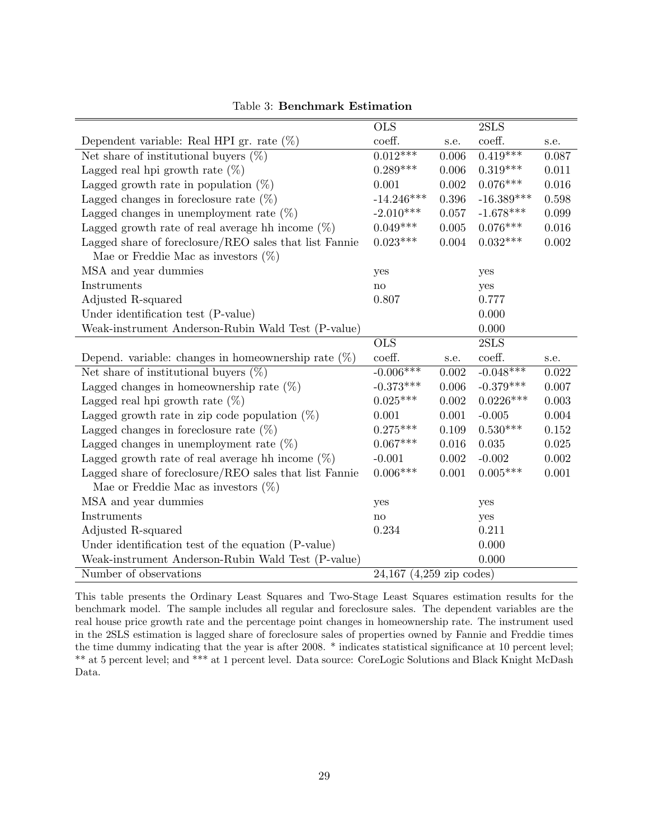|                                                        | <b>OLS</b>    |           | 2SLS         |           |
|--------------------------------------------------------|---------------|-----------|--------------|-----------|
| Dependent variable: Real HPI gr. rate $(\%)$           | coeff.        | s.e.      | coeff.       | s.e.      |
| Net share of institutional buyers $(\%)$               | $0.012***$    | 0.006     | $0.419***$   | 0.087     |
| Lagged real hpi growth rate $(\%)$                     | $0.289***$    | 0.006     | $0.319***$   | 0.011     |
| Lagged growth rate in population $(\%)$                | 0.001         | 0.002     | $0.076***$   | 0.016     |
| Lagged changes in foreclosure rate $(\%)$              | $-14.246***$  | 0.396     | $-16.389***$ | 0.598     |
| Lagged changes in unemployment rate $(\%)$             | $-2.010***$   | 0.057     | $-1.678***$  | 0.099     |
| Lagged growth rate of real average hh income $(\%)$    | $0.049***$    | 0.005     | $0.076***$   | 0.016     |
| Lagged share of foreclosure/REO sales that list Fannie | $0.023***$    | 0.004     | $0.032***$   | $0.002\,$ |
| Mae or Freddie Mac as investors $(\%)$                 |               |           |              |           |
| MSA and year dummies                                   | yes           |           | yes          |           |
| Instruments                                            | $\mathbf{no}$ |           | yes          |           |
| Adjusted R-squared                                     | 0.807         |           | 0.777        |           |
| Under identification test (P-value)                    |               |           | 0.000        |           |
| Weak-instrument Anderson-Rubin Wald Test (P-value)     |               |           | 0.000        |           |
|                                                        | <b>OLS</b>    |           | 2SLS         |           |
|                                                        |               |           |              |           |
| Depend. variable: changes in homeownership rate $(\%)$ | coeff.        | s.e.      | coeff.       | s.e.      |
| Net share of institutional buyers $(\%)$               | $-0.006***$   | 0.002     | $-0.048***$  | 0.022     |
| Lagged changes in homeownership rate $(\%)$            | $-0.373***$   | 0.006     | $-0.379***$  | 0.007     |
| Lagged real hpi growth rate $(\%)$                     | $0.025***$    | $0.002\,$ | $0.0226***$  | 0.003     |
| Lagged growth rate in zip code population $(\%)$       | 0.001         | 0.001     | $-0.005$     | $0.004\,$ |
| Lagged changes in foreclosure rate $(\%)$              | $0.275***$    | 0.109     | $0.530***$   | $0.152\,$ |
| Lagged changes in unemployment rate $(\%)$             | $0.067***$    | 0.016     | 0.035        | $0.025\,$ |
| Lagged growth rate of real average hh income $(\%)$    | $-0.001$      | 0.002     | $-0.002$     | $0.002\,$ |
| Lagged share of foreclosure/REO sales that list Fannie | $0.006***$    | 0.001     | $0.005***$   | 0.001     |
| Mae or Freddie Mac as investors $(\%)$                 |               |           |              |           |
| MSA and year dummies                                   | yes           |           | yes          |           |
| Instruments                                            | no            |           | yes          |           |
| Adjusted R-squared                                     | 0.234         |           | 0.211        |           |
| Under identification test of the equation (P-value)    |               |           | 0.000        |           |
| Weak-instrument Anderson-Rubin Wald Test (P-value)     |               |           | 0.000        |           |

Table 3: Benchmark Estimation

This table presents the Ordinary Least Squares and Two-Stage Least Squares estimation results for the benchmark model. The sample includes all regular and foreclosure sales. The dependent variables are the real house price growth rate and the percentage point changes in homeownership rate. The instrument used in the 2SLS estimation is lagged share of foreclosure sales of properties owned by Fannie and Freddie times the time dummy indicating that the year is after 2008. \* indicates statistical significance at 10 percent level; \*\* at 5 percent level; and \*\*\* at 1 percent level. Data source: CoreLogic Solutions and Black Knight McDash Data.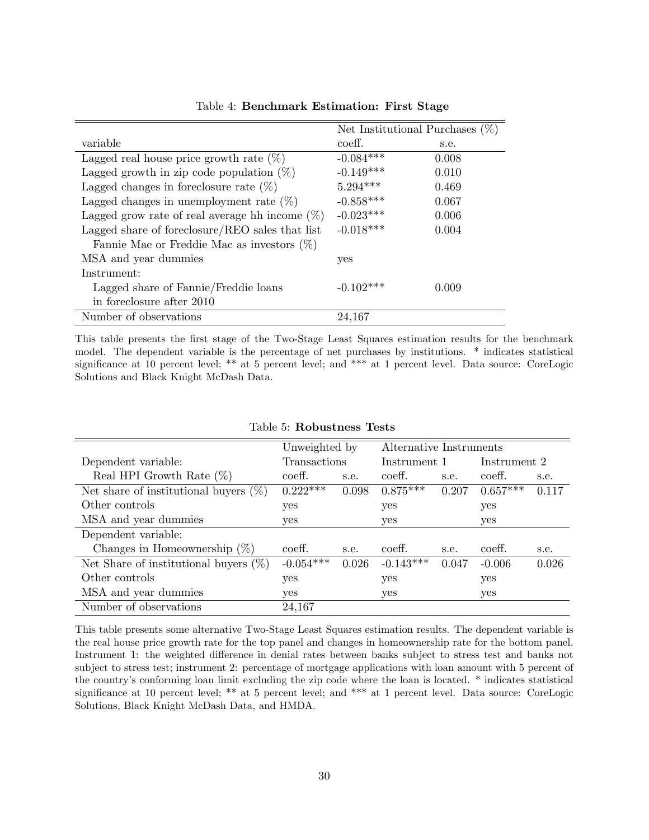|                                                   |             | Net Institutional Purchases $(\%)$ |
|---------------------------------------------------|-------------|------------------------------------|
| variable                                          | coeff.      | s.e.                               |
| Lagged real house price growth rate $(\%)$        | $-0.084***$ | 0.008                              |
| Lagged growth in zip code population $(\%)$       | $-0.149***$ | 0.010                              |
| Lagged changes in foreclosure rate $(\%)$         | $5.294***$  | 0.469                              |
| Lagged changes in unemployment rate $(\%)$        | $-0.858***$ | 0.067                              |
| Lagged grow rate of real average hh income $(\%)$ | $-0.023***$ | 0.006                              |
| Lagged share of foreclosure/REO sales that list   | $-0.018***$ | 0.004                              |
| Fannie Mae or Freddie Mac as investors $(\%)$     |             |                                    |
| MSA and year dummies                              | yes         |                                    |
| Instrument:                                       |             |                                    |
| Lagged share of Fannie/Freddie loans              | $-0.102***$ | 0.009                              |
| in foreclosure after 2010                         |             |                                    |
| Number of observations                            | 24,167      |                                    |

Table 4: Benchmark Estimation: First Stage

This table presents the first stage of the Two-Stage Least Squares estimation results for the benchmark model. The dependent variable is the percentage of net purchases by institutions. \* indicates statistical significance at 10 percent level; \*\* at 5 percent level; and \*\*\* at 1 percent level. Data source: CoreLogic Solutions and Black Knight McDash Data.

|                                          | Unweighted by |       | Alternative Instruments |       |              |       |
|------------------------------------------|---------------|-------|-------------------------|-------|--------------|-------|
| Dependent variable:                      | Transactions  |       | Instrument 1            |       | Instrument 2 |       |
| Real HPI Growth Rate $(\%)$              | coeff.        | s.e.  | coeff.                  | s.e.  | coeff.       | s.e.  |
| Net share of institutional buyers $(\%)$ | $0.222***$    | 0.098 | $0.875***$              | 0.207 | $0.657***$   | 0.117 |
| Other controls                           | yes           |       | yes                     |       | yes          |       |
| MSA and year dummies                     | yes           |       | yes                     |       | yes          |       |
| Dependent variable:                      |               |       |                         |       |              |       |
| Changes in Homeownership $(\%)$          | coeff.        | s.e.  | coeff.                  | s.e.  | coeff.       | s.e.  |
| Net Share of institutional buyers $(\%)$ | $-0.054***$   | 0.026 | $-0.143***$             | 0.047 | $-0.006$     | 0.026 |
| Other controls                           | yes           |       | yes                     |       | yes          |       |
| MSA and year dummies                     | yes           |       | yes                     |       | yes          |       |
| Number of observations                   | 24,167        |       |                         |       |              |       |

#### Table 5: Robustness Tests

This table presents some alternative Two-Stage Least Squares estimation results. The dependent variable is the real house price growth rate for the top panel and changes in homeownership rate for the bottom panel. Instrument 1: the weighted difference in denial rates between banks subject to stress test and banks not subject to stress test; instrument 2: percentage of mortgage applications with loan amount with 5 percent of the country's conforming loan limit excluding the zip code where the loan is located. \* indicates statistical significance at 10 percent level; \*\* at 5 percent level; and \*\*\* at 1 percent level. Data source: CoreLogic Solutions, Black Knight McDash Data, and HMDA.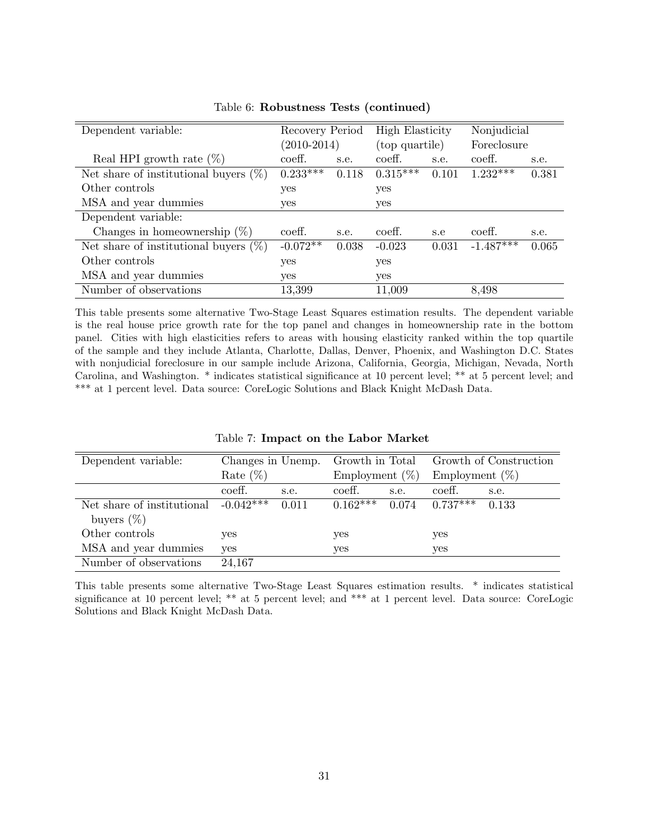| Dependent variable:                      | Recovery Period |       | <b>High Elasticity</b> |       | Nonjudicial |       |
|------------------------------------------|-----------------|-------|------------------------|-------|-------------|-------|
|                                          | $(2010 - 2014)$ |       | (top quartile)         |       | Foreclosure |       |
| Real HPI growth rate $(\%)$              | coeff.          | s.e.  | coeff.                 | s.e.  | coeff.      | s.e.  |
| Net share of institutional buyers $(\%)$ | $0.233***$      | 0.118 | $0.315***$             | 0.101 | $1.232***$  | 0.381 |
| Other controls                           | yes             |       | yes                    |       |             |       |
| MSA and year dummies                     | yes             |       | yes                    |       |             |       |
| Dependent variable:                      |                 |       |                        |       |             |       |
| Changes in homeownership $(\%)$          | coeff.          | s.e.  | coeff.                 | s.e   | coeff.      | s.e.  |
| Net share of institutional buyers $(\%)$ | $-0.072**$      | 0.038 | $-0.023$               | 0.031 | $-1.487***$ | 0.065 |
| Other controls<br>yes                    |                 |       | yes                    |       |             |       |
| MSA and year dummies                     | yes             |       | yes                    |       |             |       |
| Number of observations                   | 13,399          |       | 11,009                 |       | 8,498       |       |

Table 6: Robustness Tests (continued)

This table presents some alternative Two-Stage Least Squares estimation results. The dependent variable is the real house price growth rate for the top panel and changes in homeownership rate in the bottom panel. Cities with high elasticities refers to areas with housing elasticity ranked within the top quartile of the sample and they include Atlanta, Charlotte, Dallas, Denver, Phoenix, and Washington D.C. States with nonjudicial foreclosure in our sample include Arizona, California, Georgia, Michigan, Nevada, North Carolina, and Washington. \* indicates statistical significance at 10 percent level; \*\* at 5 percent level; and \*\*\* at 1 percent level. Data source: CoreLogic Solutions and Black Knight McDash Data.

|  | Table 7: Impact on the Labor Market |  |  |  |  |
|--|-------------------------------------|--|--|--|--|
|--|-------------------------------------|--|--|--|--|

| Dependent variable:        | Changes in Unemp. |       | Growth in Total   |       | Growth of Construction |       |
|----------------------------|-------------------|-------|-------------------|-------|------------------------|-------|
|                            | Rate $(\%)$       |       | Employment $(\%)$ |       | Employment $(\%)$      |       |
|                            | coeff.            | s.e.  | coeff.            | s.e.  | coeff.                 | s.e.  |
| Net share of institutional | $-0.042***$       | 0.011 | $0.162***$        | 0.074 | $0.737***$             | 0.133 |
| buyers $(\%)$              |                   |       |                   |       |                        |       |
| Other controls             | yes               |       | yes               |       | yes                    |       |
| MSA and year dummies       | yes               |       | yes               |       | yes                    |       |
| Number of observations     | 24,167            |       |                   |       |                        |       |

This table presents some alternative Two-Stage Least Squares estimation results. \* indicates statistical significance at 10 percent level; \*\* at 5 percent level; and \*\*\* at 1 percent level. Data source: CoreLogic Solutions and Black Knight McDash Data.